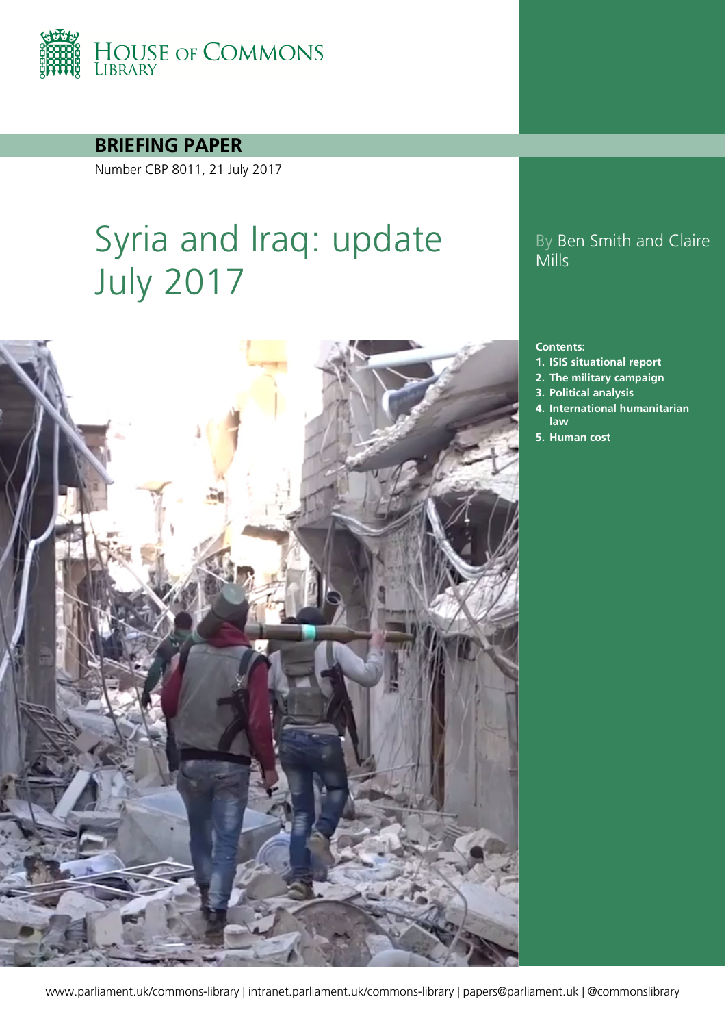

**BRIEFING PAPER**

Number CBP 8011, 21 July 2017

# Syria and Iraq: update July 2017



## By Ben Smith and Claire Mills

#### **Contents:**

- **1. [ISIS situational report](#page-4-0)**
- **2. [The military campaign](#page-12-0)**
- **3. [Political analysis](#page-18-0)**
- **4. [International humanitarian](#page-29-0)  [law](#page-29-0)**
- **5. [Human cost](#page-31-0)**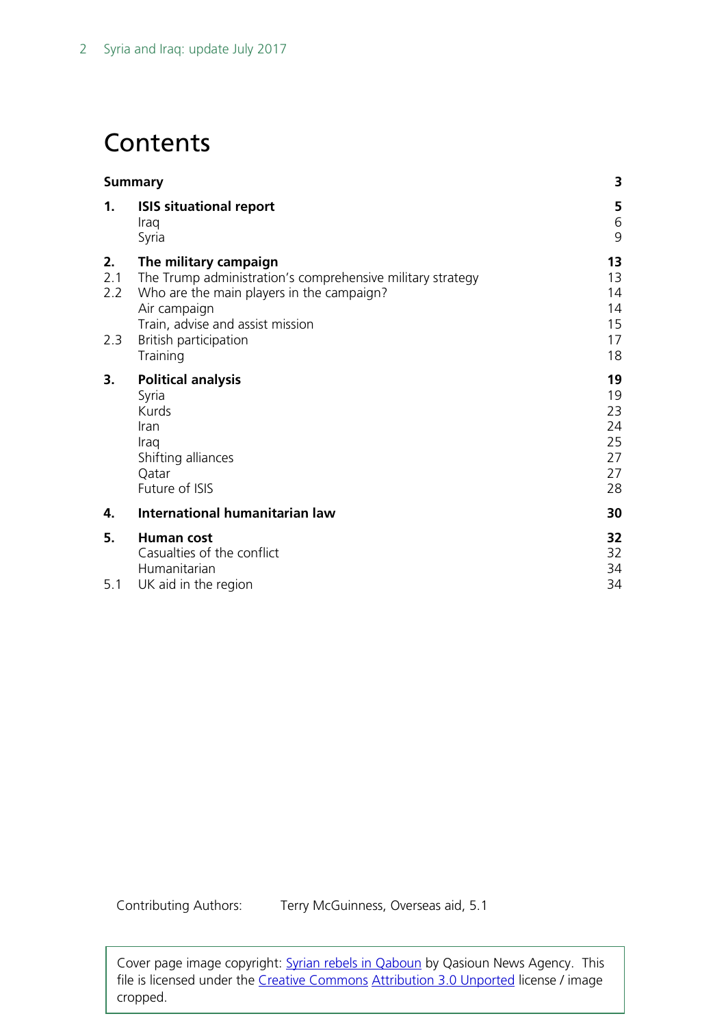## **Contents**

| <b>Summary</b>                                                                                                                                   |                                                          |  |  |
|--------------------------------------------------------------------------------------------------------------------------------------------------|----------------------------------------------------------|--|--|
| <b>ISIS situational report</b><br>Iraq<br>Syria                                                                                                  | 5<br>6<br>9                                              |  |  |
| The military campaign<br>The Trump administration's comprehensive military strategy<br>Who are the main players in the campaign?<br>Air campaign | 13<br>13<br>14<br>14<br>15                               |  |  |
| British participation<br>Training                                                                                                                | 17<br>18                                                 |  |  |
| <b>Political analysis</b><br>Syria<br>Kurds<br>Iran<br>Iraq<br>Shifting alliances<br>Qatar<br>Future of ISIS                                     | 19<br>19<br>23<br>24<br>25<br>27<br>27<br>28             |  |  |
| International humanitarian law                                                                                                                   | 30                                                       |  |  |
| <b>Human cost</b><br>Casualties of the conflict<br>Humanitarian                                                                                  | 32<br>32<br>34<br>34                                     |  |  |
|                                                                                                                                                  | Train, advise and assist mission<br>UK aid in the region |  |  |

Contributing Authors: Terry McGuinness, Overseas aid, 5.1

Cover page image copyright: [Syrian rebels in Qaboun](https://commons.wikimedia.org/wiki/File:Syrian_rebels_with_M79_Osa_in_Damascus.png) by Qasioun News Agency. This file is licensed under the [Creative Commons](https://en.wikipedia.org/wiki/en:Creative_Commons) [Attribution 3.0 Unported](https://creativecommons.org/licenses/by/3.0/deed.en) license / image cropped.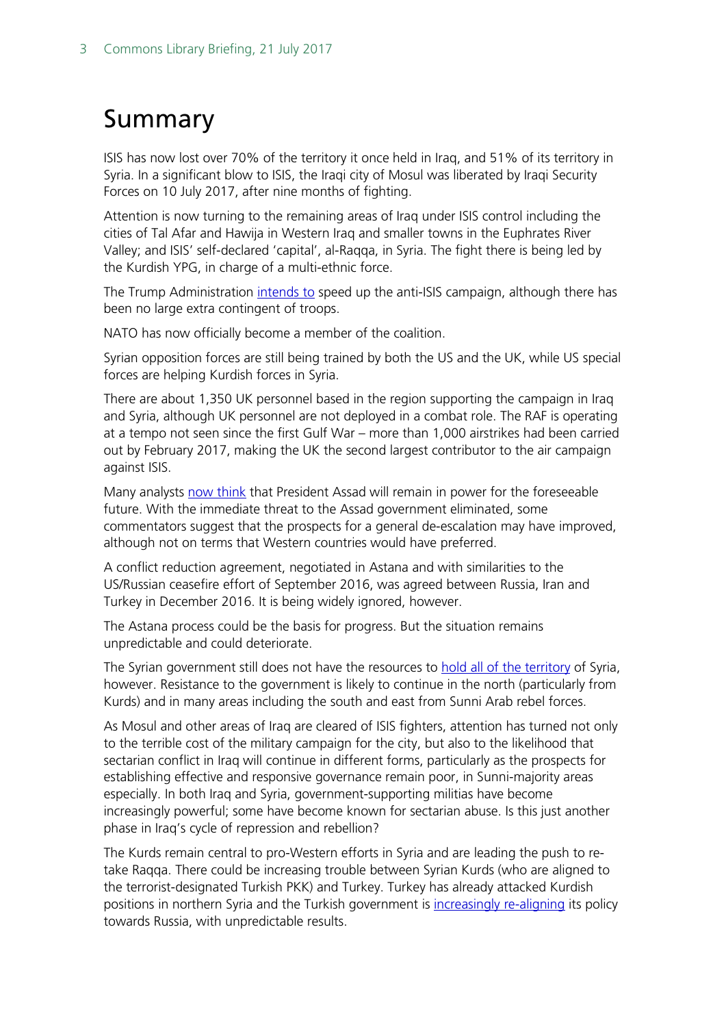## <span id="page-2-0"></span>Summary

ISIS has now lost over 70% of the territory it once held in Iraq, and 51% of its territory in Syria. In a significant blow to ISIS, the Iraqi city of Mosul was liberated by Iraqi Security Forces on 10 July 2017, after nine months of fighting.

Attention is now turning to the remaining areas of Iraq under ISIS control including the cities of Tal Afar and Hawija in Western Iraq and smaller towns in the Euphrates River Valley; and ISIS' self-declared 'capital', al-Raqqa, in Syria. The fight there is being led by the Kurdish YPG, in charge of a multi-ethnic force.

The Trump Administration [intends to](https://www.defense.gov/News/Transcripts/Transcript-View/Article/1188225/department-of-defense-press-briefing-by-secretary-mattis-general-dunford-and-sp/) speed up the anti-ISIS campaign, although there has been no large extra contingent of troops.

NATO has now officially become a member of the coalition.

Syrian opposition forces are still being trained by both the US and the UK, while US special forces are helping Kurdish forces in Syria.

There are about 1,350 UK personnel based in the region supporting the campaign in Iraq and Syria, although UK personnel are not deployed in a combat role. The RAF is operating at a tempo not seen since the first Gulf War – more than 1,000 airstrikes had been carried out by February 2017, making the UK the second largest contributor to the air campaign against ISIS.

Many analysts [now think](http://www.rand.org/content/dam/rand/pubs/perspectives/PE200/PE233/RAND_PE233.pdf) that President Assad will remain in power for the foreseeable future. With the immediate threat to the Assad government eliminated, some commentators suggest that the prospects for a general de-escalation may have improved, although not on terms that Western countries would have preferred.

A conflict reduction agreement, negotiated in Astana and with similarities to the US/Russian ceasefire effort of September 2016, was agreed between Russia, Iran and Turkey in December 2016. It is being widely ignored, however.

The Astana process could be the basis for progress. But the situation remains unpredictable and could deteriorate.

The Syrian government still does not have the resources to [hold all of the territory](http://www.bbc.co.uk/news/world-middle-east-38289313) of Syria, however. Resistance to the government is likely to continue in the north (particularly from Kurds) and in many areas including the south and east from Sunni Arab rebel forces.

As Mosul and other areas of Iraq are cleared of ISIS fighters, attention has turned not only to the terrible cost of the military campaign for the city, but also to the likelihood that sectarian conflict in Iraq will continue in different forms, particularly as the prospects for establishing effective and responsive governance remain poor, in Sunni-majority areas especially. In both Iraq and Syria, government-supporting militias have become increasingly powerful; some have become known for sectarian abuse. Is this just another phase in Iraq's cycle of repression and rebellion?

The Kurds remain central to pro-Western efforts in Syria and are leading the push to retake Raqqa. There could be increasing trouble between Syrian Kurds (who are aligned to the terrorist-designated Turkish PKK) and Turkey. Turkey has already attacked Kurdish positions in northern Syria and the Turkish government is *increasingly re-aligning* its policy towards Russia, with unpredictable results.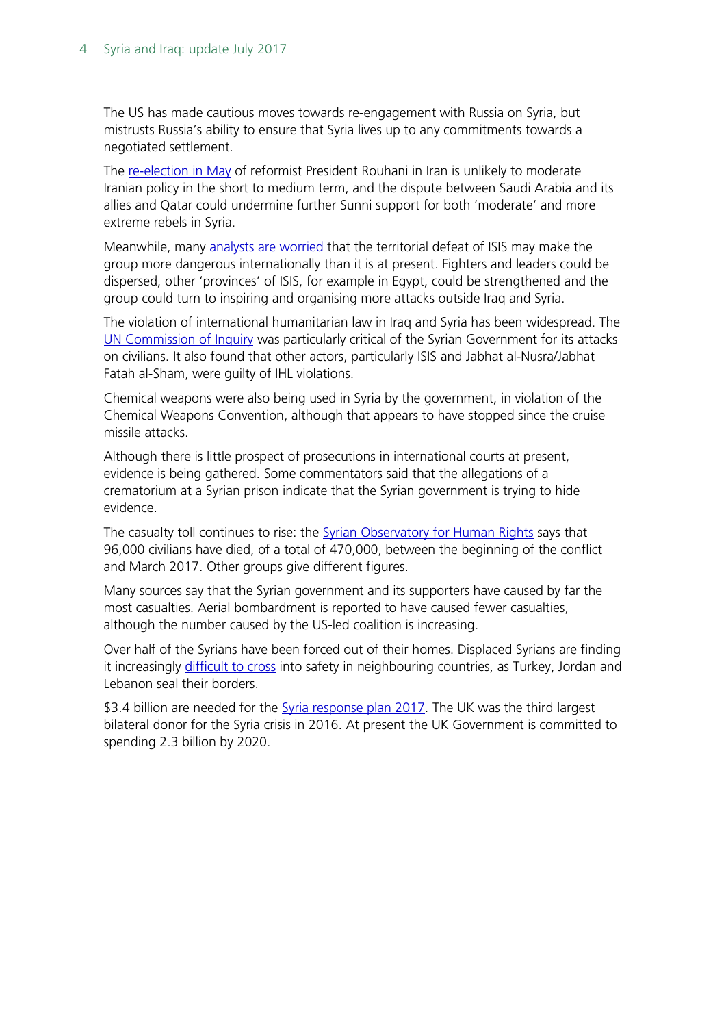The US has made cautious moves towards re-engagement with Russia on Syria, but mistrusts Russia's ability to ensure that Syria lives up to any commitments towards a negotiated settlement.

The [re-election in May](http://researchbriefings.files.parliament.uk/documents/CBP-7983/CBP-7983.pdf) of reformist President Rouhani in Iran is unlikely to moderate Iranian policy in the short to medium term, and the dispute between Saudi Arabia and its allies and Qatar could undermine further Sunni support for both 'moderate' and more extreme rebels in Syria.

Meanwhile, many [analysts are worried](http://theconversation.com/even-if-raqqa-and-mosul-fall-islamic-state-is-far-from-finished-79370?sa=google&sq=syria&sr=1) that the territorial defeat of ISIS may make the group more dangerous internationally than it is at present. Fighters and leaders could be dispersed, other 'provinces' of ISIS, for example in Egypt, could be strengthened and the group could turn to inspiring and organising more attacks outside Iraq and Syria.

The violation of international humanitarian law in Iraq and Syria has been widespread. The [UN Commission of Inquiry](http://www.ohchr.org/EN/HRBodies/HRC/IICISyria/Pages/Documentation.aspx) was particularly critical of the Syrian Government for its attacks on civilians. It also found that other actors, particularly ISIS and Jabhat al-Nusra/Jabhat Fatah al-Sham, were guilty of IHL violations.

Chemical weapons were also being used in Syria by the government, in violation of the Chemical Weapons Convention, although that appears to have stopped since the cruise missile attacks.

Although there is little prospect of prosecutions in international courts at present, evidence is being gathered. Some commentators said that the allegations of a crematorium at a Syrian prison indicate that the Syrian government is trying to hide evidence.

The casualty toll continues to rise: the **Syrian Observatory for Human Rights** says that 96,000 civilians have died, of a total of 470,000, between the beginning of the conflict and March 2017. Other groups give different figures.

Many sources say that the Syrian government and its supporters have caused by far the most casualties. Aerial bombardment is reported to have caused fewer casualties, although the number caused by the US-led coalition is increasing.

Over half of the Syrians have been forced out of their homes. Displaced Syrians are finding it increasingly [difficult to cross](https://www.amnesty.org/en/latest/news/2016/09/syria-jordan-border-75000-refugees-trapped-in-desert-no-mans-land-in-dire-conditions/?utm_content=bufferdbc2e&utm_medium=social&utm_source=twitter.com&utm_campaign=buffer) into safety in neighbouring countries, as Turkey, Jordan and Lebanon seal their borders.

\$3.4 billion are needed for the [Syria response plan 2017.](http://reliefweb.int/report/syrian-arab-republic/2017-syrian-arab-republic-humanitarian-response-plan-january-december) The UK was the third largest bilateral donor for the Syria crisis in 2016. At present the UK Government is committed to spending 2.3 billion by 2020.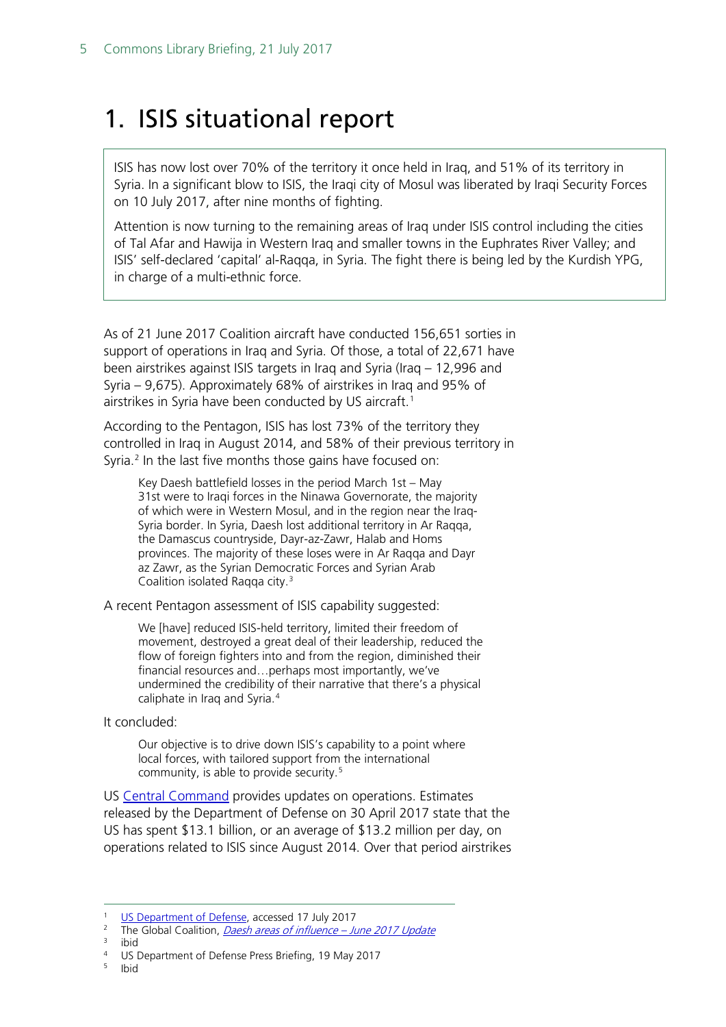## <span id="page-4-0"></span>1. ISIS situational report

ISIS has now lost over 70% of the territory it once held in Iraq, and 51% of its territory in Syria. In a significant blow to ISIS, the Iraqi city of Mosul was liberated by Iraqi Security Forces on 10 July 2017, after nine months of fighting.

Attention is now turning to the remaining areas of Iraq under ISIS control including the cities of Tal Afar and Hawija in Western Iraq and smaller towns in the Euphrates River Valley; and ISIS' self-declared 'capital' al-Raqqa, in Syria. The fight there is being led by the Kurdish YPG, in charge of a multi-ethnic force.

As of 21 June 2017 Coalition aircraft have conducted 156,651 sorties in support of operations in Iraq and Syria. Of those, a total of 22,671 have been airstrikes against ISIS targets in Iraq and Syria (Iraq – 12,996 and Syria – 9,675). Approximately 68% of airstrikes in Iraq and 95% of airstrikes in Syria have been conducted by US aircraft.<sup>[1](#page-4-1)</sup>

According to the Pentagon, ISIS has lost 73% of the territory they controlled in Iraq in August 2014, and 58% of their previous territory in Syria. [2](#page-4-2) In the last five months those gains have focused on:

Key Daesh battlefield losses in the period March 1st – May 31st were to Iraqi forces in the Ninawa Governorate, the majority of which were in Western Mosul, and in the region near the Iraq-Syria border. In Syria, Daesh lost additional territory in Ar Raqqa, the Damascus countryside, Dayr-az-Zawr, Halab and Homs provinces. The majority of these loses were in Ar Raqqa and Dayr az Zawr, as the Syrian Democratic Forces and Syrian Arab Coalition isolated Raqqa city.[3](#page-4-3)

A recent Pentagon assessment of ISIS capability suggested:

We [have] reduced ISIS-held territory, limited their freedom of movement, destroyed a great deal of their leadership, reduced the flow of foreign fighters into and from the region, diminished their financial resources and…perhaps most importantly, we've undermined the credibility of their narrative that there's a physical caliphate in Iraq and Syria.[4](#page-4-4)

It concluded:

Our objective is to drive down ISIS's capability to a point where local forces, with tailored support from the international community, is able to provide security.[5](#page-4-5)

US [Central Command](http://www.defense.gov/home/features/2014/0814_iraq/) provides updates on operations. Estimates released by the Department of Defense on 30 April 2017 state that the US has spent \$13.1 billion, or an average of \$13.2 million per day, on operations related to ISIS since August 2014. Over that period airstrikes

<span id="page-4-5"></span><span id="page-4-4"></span><sup>5</sup> Ibid

<span id="page-4-2"></span><span id="page-4-1"></span><sup>&</sup>lt;sup>1</sup> [US Department of Defense,](http://www.defense.gov/News/Special-Reports/0814_Inherent-Resolve) accessed 17 July 2017<br><sup>2</sup> The Global Coalition, *[Daesh areas of influence –](http://theglobalcoalition.org/en/daesh-areas-of-influence-june-2017/) June 2017 Update*<br><sup>3</sup> ihid

<span id="page-4-3"></span><sup>&</sup>lt;sup>4</sup> US Department of Defense Press Briefing, 19 May 2017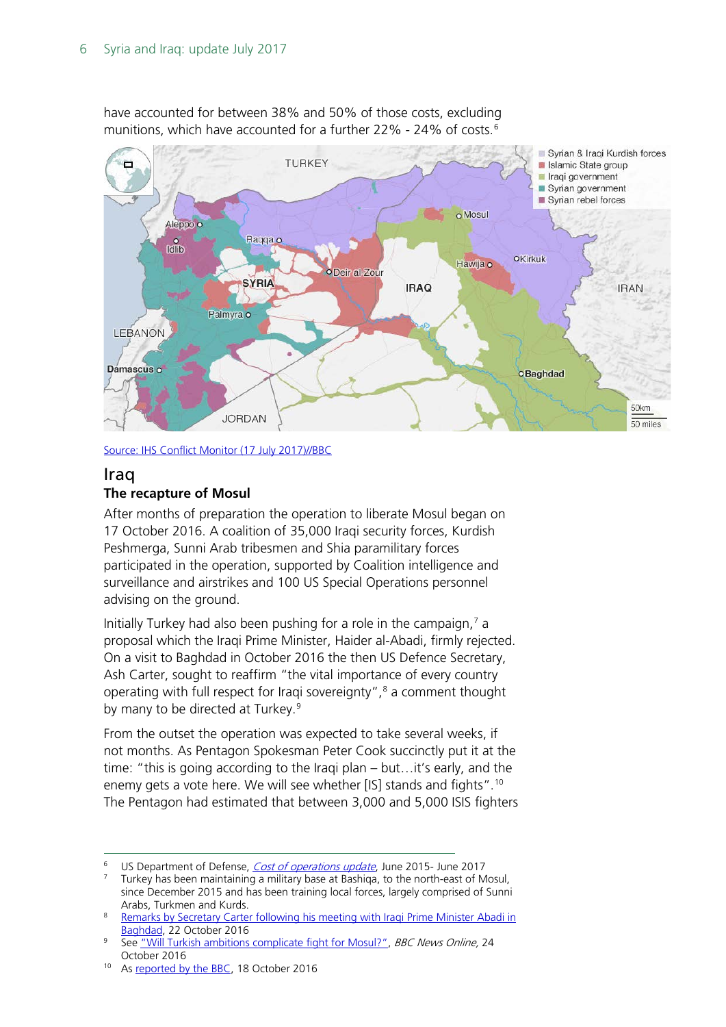

have accounted for between 38% and 50% of those costs, excluding munitions, which have accounted for a further 22% - 24% of costs.<sup>[6](#page-5-1)</sup>

[Source: IHS Conflict Monitor \(17 July](http://www.bbc.co.uk/news/world-middle-east-27838034) 2017)//BBC

### <span id="page-5-0"></span>Iraq **The recapture of Mosul**

After months of preparation the operation to liberate Mosul began on 17 October 2016. A coalition of 35,000 Iraqi security forces, Kurdish Peshmerga, Sunni Arab tribesmen and Shia paramilitary forces participated in the operation, supported by Coalition intelligence and surveillance and airstrikes and 100 US Special Operations personnel advising on the ground.

Initially Turkey had also been pushing for a role in the campaign, $<sup>7</sup>$  $<sup>7</sup>$  $<sup>7</sup>$  a</sup> proposal which the Iraqi Prime Minister, Haider al-Abadi, firmly rejected. On a visit to Baghdad in October 2016 the then US Defence Secretary, Ash Carter, sought to reaffirm "the vital importance of every country operating with full respect for Iraqi sovereignty", $\frac{8}{3}$  $\frac{8}{3}$  $\frac{8}{3}$  a comment thought by many to be directed at Turkey.<sup>[9](#page-5-4)</sup>

From the outset the operation was expected to take several weeks, if not months. As Pentagon Spokesman Peter Cook succinctly put it at the time: "this is going according to the Iraqi plan – but…it's early, and the enemy gets a vote here. We will see whether [IS] stands and fights".[10](#page-5-5) The Pentagon had estimated that between 3,000 and 5,000 ISIS fighters

<span id="page-5-1"></span><sup>&</sup>lt;sup>6</sup> US Department of Defense, *Cost of operations update*, June 2015- June 2017<br><sup>7</sup> Turkey has been maintaining a military base at Bashiga, to the north-east of Mosul,

<span id="page-5-2"></span>since December 2015 and has been training local forces, largely comprised of Sunni Arabs, Turkmen and Kurds. 8 [Remarks by Secretary Carter following his meeting with Iraqi Prime Minister Abadi in](https://www.defense.gov/News/Transcripts/Transcript-View/Article/983032/remarks-by-secretary-carter-following-his-meeting-with-iraqi-prime-minister-aba/) 

<span id="page-5-3"></span>

<span id="page-5-4"></span>[Baghdad,](https://www.defense.gov/News/Transcripts/Transcript-View/Article/983032/remarks-by-secretary-carter-following-his-meeting-with-iraqi-prime-minister-aba/) 22 October 2016<br><sup>9</sup> See ["Will Turkish ambitions complicate fight for Mosul?",](http://www.bbc.co.uk/news/world-middle-east-37751579) *BBC News Online*, 24 October 2016<br><sup>10</sup> As [reported by the BBC,](http://www.bbc.co.uk/news/world-middle-east-37685964) 18 October 2016

<span id="page-5-5"></span>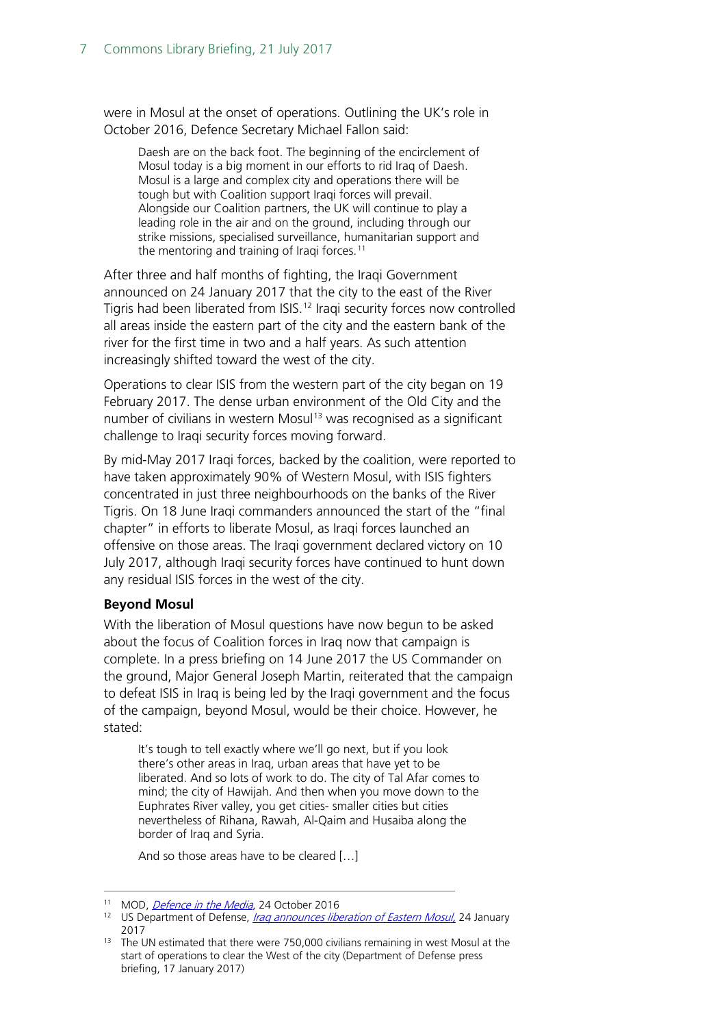were in Mosul at the onset of operations. Outlining the UK's role in October 2016, Defence Secretary Michael Fallon said:

Daesh are on the back foot. The beginning of the encirclement of Mosul today is a big moment in our efforts to rid Iraq of Daesh. Mosul is a large and complex city and operations there will be tough but with Coalition support Iraqi forces will prevail. Alongside our Coalition partners, the UK will continue to play a leading role in the air and on the ground, including through our strike missions, specialised surveillance, humanitarian support and the mentoring and training of Iraqi forces.<sup>[11](#page-6-0)</sup>

After three and half months of fighting, the Iraqi Government announced on 24 January 2017 that the city to the east of the River Tigris had been liberated from ISIS.[12](#page-6-1) Iraqi security forces now controlled all areas inside the eastern part of the city and the eastern bank of the river for the first time in two and a half years. As such attention increasingly shifted toward the west of the city.

Operations to clear ISIS from the western part of the city began on 19 February 2017. The dense urban environment of the Old City and the number of civilians in western Mosul<sup>[13](#page-6-2)</sup> was recognised as a significant challenge to Iraqi security forces moving forward.

By mid-May 2017 Iraqi forces, backed by the coalition, were reported to have taken approximately 90% of Western Mosul, with ISIS fighters concentrated in just three neighbourhoods on the banks of the River Tigris. On 18 June Iraqi commanders announced the start of the "final chapter" in efforts to liberate Mosul, as Iraqi forces launched an offensive on those areas. The Iraqi government declared victory on 10 July 2017, although Iraqi security forces have continued to hunt down any residual ISIS forces in the west of the city.

#### **Beyond Mosul**

With the liberation of Mosul questions have now begun to be asked about the focus of Coalition forces in Iraq now that campaign is complete. In a press briefing on 14 June 2017 the US Commander on the ground, Major General Joseph Martin, reiterated that the campaign to defeat ISIS in Iraq is being led by the Iraqi government and the focus of the campaign, beyond Mosul, would be their choice. However, he stated:

It's tough to tell exactly where we'll go next, but if you look there's other areas in Iraq, urban areas that have yet to be liberated. And so lots of work to do. The city of Tal Afar comes to mind; the city of Hawijah. And then when you move down to the Euphrates River valley, you get cities- smaller cities but cities nevertheless of Rihana, Rawah, Al-Qaim and Husaiba along the border of Iraq and Syria.

And so those areas have to be cleared […]

<span id="page-6-1"></span><span id="page-6-0"></span><sup>&</sup>lt;sup>11</sup> MOD[,](https://modmedia.blog.gov.uk/2016/10/24/defence-in-the-media-24-october-2016/) *Defence in the Media*, 24 October 2016<br><sup>12</sup> US Department of Defense, *Iraq announces liberation of Eastern Mosul*, 24 January 2017

<span id="page-6-2"></span> $13$  The UN estimated that there were 750,000 civilians remaining in west Mosul at the start of operations to clear the West of the city (Department of Defense press briefing, 17 January 2017)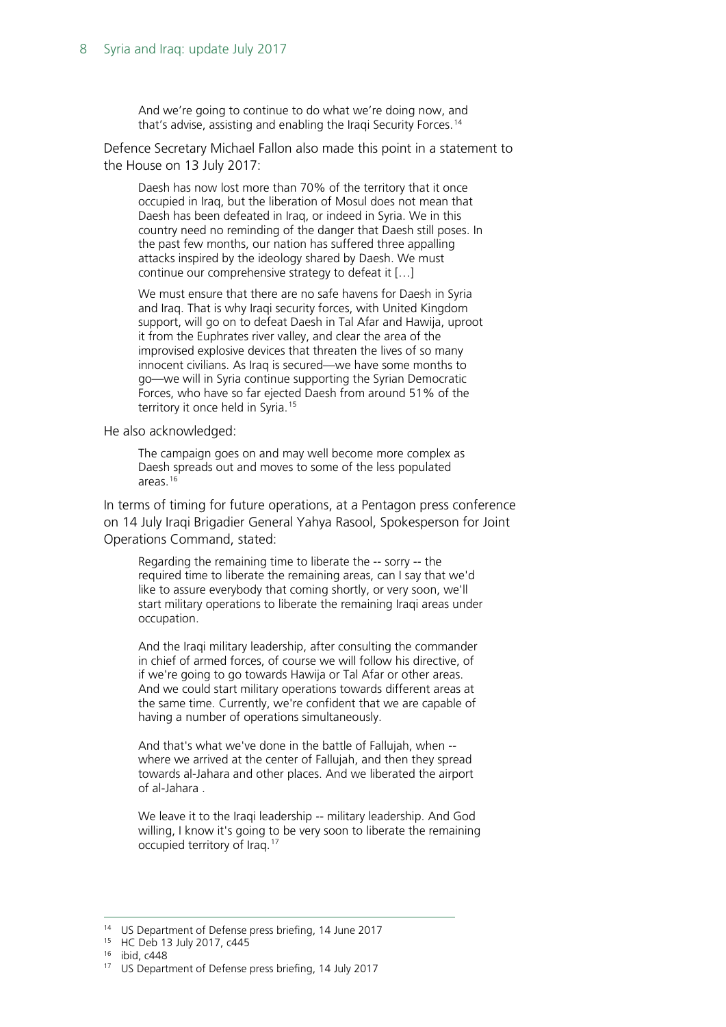And we're going to continue to do what we're doing now, and that's advise, assisting and enabling the Iraqi Security Forces.<sup>[14](#page-7-0)</sup>

Defence Secretary Michael Fallon also made this point in a statement to the House on 13 July 2017:

Daesh has now lost more than 70% of the territory that it once occupied in Iraq, but the liberation of Mosul does not mean that Daesh has been defeated in Iraq, or indeed in Syria. We in this country need no reminding of the danger that Daesh still poses. In the past few months, our nation has suffered three appalling attacks inspired by the ideology shared by Daesh. We must continue our comprehensive strategy to defeat it […]

We must ensure that there are no safe havens for Daesh in Syria and Iraq. That is why Iraqi security forces, with United Kingdom support, will go on to defeat Daesh in Tal Afar and Hawija, uproot it from the Euphrates river valley, and clear the area of the improvised explosive devices that threaten the lives of so many innocent civilians. As Iraq is secured—we have some months to go—we will in Syria continue supporting the Syrian Democratic Forces, who have so far ejected Daesh from around 51% of the territory it once held in Syria.<sup>[15](#page-7-1)</sup>

He also acknowledged:

The campaign goes on and may well become more complex as Daesh spreads out and moves to some of the less populated areas.[16](#page-7-2)

In terms of timing for future operations, at a Pentagon press conference on 14 July Iraqi Brigadier General Yahya Rasool, Spokesperson for Joint Operations Command, stated:

Regarding the remaining time to liberate the -- sorry -- the required time to liberate the remaining areas, can I say that we'd like to assure everybody that coming shortly, or very soon, we'll start military operations to liberate the remaining Iraqi areas under occupation.

And the Iraqi military leadership, after consulting the commander in chief of armed forces, of course we will follow his directive, of if we're going to go towards Hawija or Tal Afar or other areas. And we could start military operations towards different areas at the same time. Currently, we're confident that we are capable of having a number of operations simultaneously.

And that's what we've done in the battle of Fallujah, when - where we arrived at the center of Fallujah, and then they spread towards al-Jahara and other places. And we liberated the airport of al-Jahara .

We leave it to the Iraqi leadership -- military leadership. And God willing, I know it's going to be very soon to liberate the remaining occupied territory of Iraq.[17](#page-7-3)

<span id="page-7-0"></span><sup>&</sup>lt;sup>14</sup> US Department of Defense press briefing, 14 June 2017<br><sup>15</sup> HC Deb 13 July 2017, c445

<span id="page-7-2"></span><span id="page-7-1"></span><sup>16</sup> ibid, c448

<span id="page-7-3"></span><sup>&</sup>lt;sup>17</sup> US Department of Defense press briefing, 14 July 2017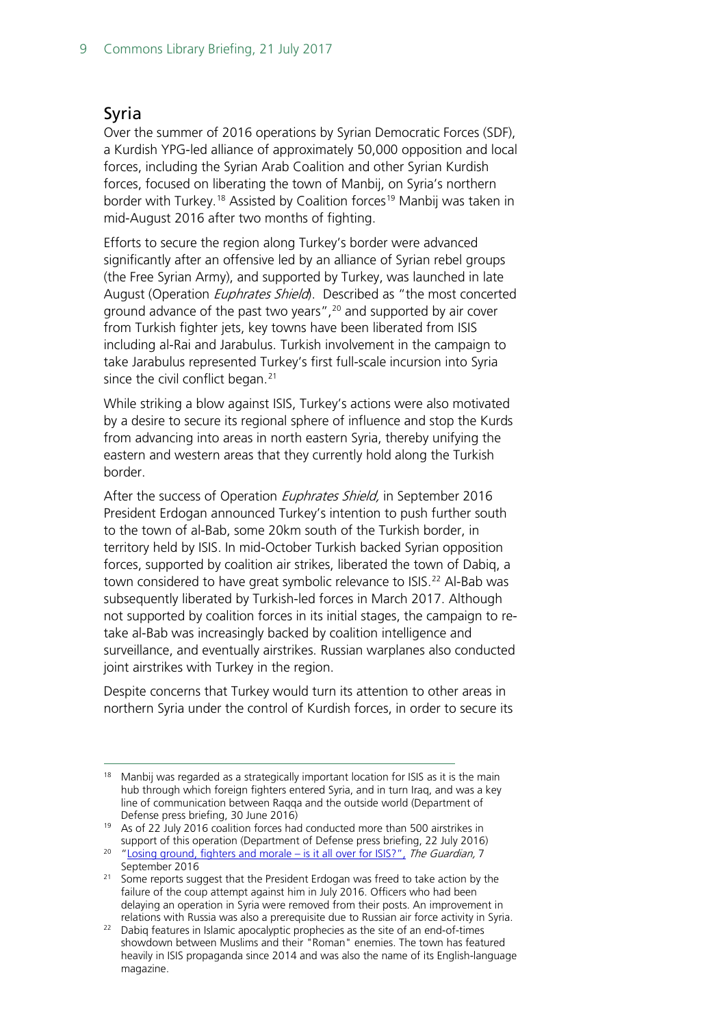### <span id="page-8-0"></span>Syria

Over the summer of 2016 operations by Syrian Democratic Forces (SDF), a Kurdish YPG-led alliance of approximately 50,000 opposition and local forces, including the Syrian Arab Coalition and other Syrian Kurdish forces, focused on liberating the town of Manbij, on Syria's northern border with Turkey.<sup>[18](#page-8-1)</sup> Assisted by Coalition forces<sup>[19](#page-8-2)</sup> Manbij was taken in mid-August 2016 after two months of fighting.

Efforts to secure the region along Turkey's border were advanced significantly after an offensive led by an alliance of Syrian rebel groups (the Free Syrian Army), and supported by Turkey, was launched in late August (Operation *Euphrates Shield*). Described as "the most concerted ground advance of the past two years", $20$  and supported by air cover from Turkish fighter jets, key towns have been liberated from ISIS including al-Rai and Jarabulus. Turkish involvement in the campaign to take Jarabulus represented Turkey's first full-scale incursion into Syria since the civil conflict began. $21$ 

While striking a blow against ISIS, Turkey's actions were also motivated by a desire to secure its regional sphere of influence and stop the Kurds from advancing into areas in north eastern Syria, thereby unifying the eastern and western areas that they currently hold along the Turkish border.

After the success of Operation Euphrates Shield, in September 2016 President Erdogan announced Turkey's intention to push further south to the town of al-Bab, some 20km south of the Turkish border, in territory held by ISIS. In mid-October Turkish backed Syrian opposition forces, supported by coalition air strikes, liberated the town of Dabiq, a town considered to have great symbolic relevance to ISIS.<sup>[22](#page-8-5)</sup> Al-Bab was subsequently liberated by Turkish-led forces in March 2017. Although not supported by coalition forces in its initial stages, the campaign to retake al-Bab was increasingly backed by coalition intelligence and surveillance, and eventually airstrikes. Russian warplanes also conducted joint airstrikes with Turkey in the region.

Despite concerns that Turkey would turn its attention to other areas in northern Syria under the control of Kurdish forces, in order to secure its

<span id="page-8-1"></span> $18$  Manbij was regarded as a strategically important location for ISIS as it is the main hub through which foreign fighters entered Syria, and in turn Iraq, and was a key line of communication between Raqqa and the outside world (Department of Defense press briefing, 30 June 2016)<br><sup>19</sup> As of 22 July 2016 coalition forces had conducted more than 500 airstrikes in

<span id="page-8-2"></span>support of this operation (Department of Defense press briefing, 22 July 2016)

<span id="page-8-3"></span><sup>&</sup>lt;sup>20</sup> ["Losing ground, fighters and morale –](https://www.theguardian.com/world/2016/sep/07/losing-ground-fighter-morale-is-it-all-over-for-isis-syria-turkey) is it all over for ISIS?", The Guardian, 7

<span id="page-8-4"></span>September 2016<br><sup>21</sup> Some reports suggest that the President Erdogan was freed to take action by the failure of the coup attempt against him in July 2016. Officers who had been delaying an operation in Syria were removed from their posts. An improvement in relations with Russia was also a prerequisite due to Russian air force activity in Syria.

<span id="page-8-5"></span> $22$  Dabiq features in Islamic apocalyptic prophecies as the site of an end-of-times showdown between Muslims and their "Roman" enemies. The town has featured heavily in ISIS propaganda since 2014 and was also the name of its English-language magazine.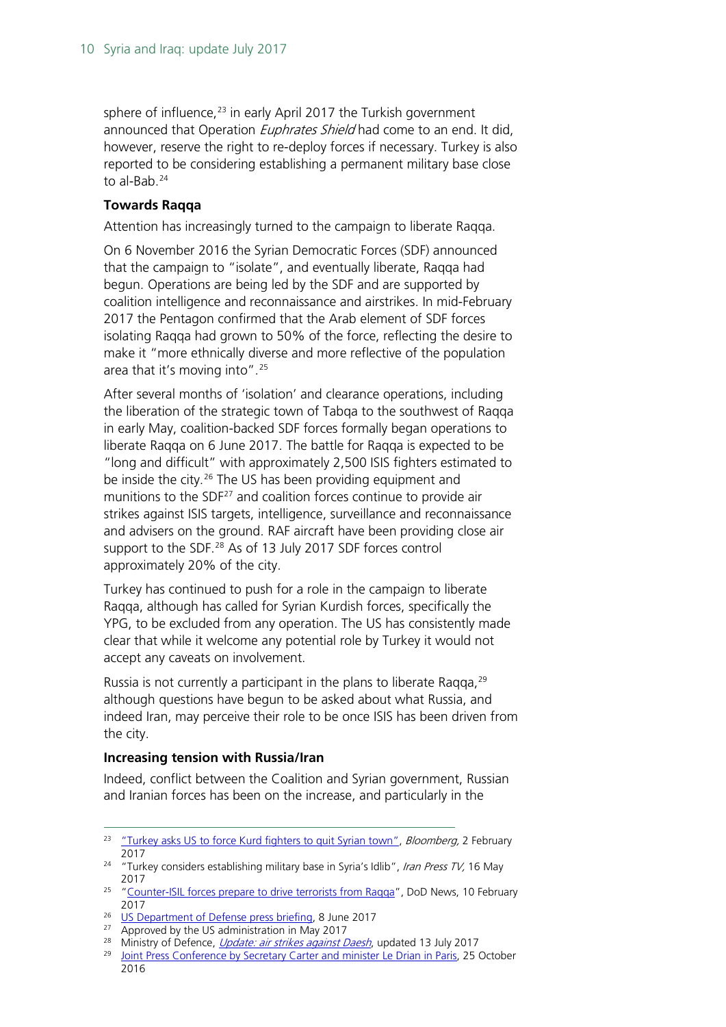sphere of influence, $^{23}$  $^{23}$  $^{23}$  in early April 2017 the Turkish government announced that Operation *Euphrates Shield* had come to an end. It did, however, reserve the right to re-deploy forces if necessary. Turkey is also reported to be considering establishing a permanent military base close to al-Bab.<sup>[24](#page-9-1)</sup>

#### **Towards Raqqa**

Attention has increasingly turned to the campaign to liberate Raqqa.

On 6 November 2016 the Syrian Democratic Forces (SDF) announced that the campaign to "isolate", and eventually liberate, Raqqa had begun. Operations are being led by the SDF and are supported by coalition intelligence and reconnaissance and airstrikes. In mid-February 2017 the Pentagon confirmed that the Arab element of SDF forces isolating Raqqa had grown to 50% of the force, reflecting the desire to make it "more ethnically diverse and more reflective of the population area that it's moving into".[25](#page-9-2)

After several months of 'isolation' and clearance operations, including the liberation of the strategic town of Tabqa to the southwest of Raqqa in early May, coalition-backed SDF forces formally began operations to liberate Raqqa on 6 June 2017. The battle for Raqqa is expected to be "long and difficult" with approximately 2,500 ISIS fighters estimated to be inside the city.<sup>[26](#page-9-3)</sup> The US has been providing equipment and munitions to the  $SDF<sup>27</sup>$  $SDF<sup>27</sup>$  $SDF<sup>27</sup>$  and coalition forces continue to provide air strikes against ISIS targets, intelligence, surveillance and reconnaissance and advisers on the ground. RAF aircraft have been providing close air support to the SDF.<sup>[28](#page-9-5)</sup> As of 13 July 2017 SDF forces control approximately 20% of the city.

Turkey has continued to push for a role in the campaign to liberate Raqqa, although has called for Syrian Kurdish forces, specifically the YPG, to be excluded from any operation. The US has consistently made clear that while it welcome any potential role by Turkey it would not accept any caveats on involvement.

Russia is not currently a participant in the plans to liberate Raqqa, $29$ although questions have begun to be asked about what Russia, and indeed Iran, may perceive their role to be once ISIS has been driven from the city.

#### **Increasing tension with Russia/Iran**

Indeed, conflict between the Coalition and Syrian government, Russian and Iranian forces has been on the increase, and particularly in the

<span id="page-9-0"></span><sup>&</sup>lt;sup>23</sup> ["Turkey asks US to force Kurd fighters to quit Syrian town",](https://www.bloomberg.com/news/articles/2017-03-02/turkey-vows-to-wrestle-control-of-manbij-from-syrian-kurds) Bloomberg, 2 February 2017 24 "Turkey considers establishing military base in Syria's Idlib", Iran Press TV, 16 May

<span id="page-9-1"></span><sup>2017 25</sup> ["Counter-ISIL forces prepare to drive terrorists from Raqqa"](https://www.defense.gov/News/Article/Article/1080311/counter-isil-forces-prepare-to-drive-terrorists-from-raqqa-dod-spokesman-says/), DoD News, 10 February

<span id="page-9-2"></span><sup>2017&</sup>lt;br><sup>26</sup> [US Department of Defense press briefing,](https://www.defense.gov/News/Transcripts/Transcript-View/Article/1208742/department-of-defense-press-briefing-by-colonel-dillon-via-teleconference-from/) 8 June 2017<br><sup>27</sup> Approved by the US administration in May 2017

<span id="page-9-3"></span>

<span id="page-9-4"></span>

<sup>&</sup>lt;sup>28</sup> Ministry of Defence, *[Update: air strikes against Daesh](https://www.gov.uk/government/news/update-air-strikes-against-daesh)*, updated 13 July 2017

<span id="page-9-6"></span><span id="page-9-5"></span><sup>&</sup>lt;sup>29</sup> [Joint Press Conference by Secretary Carter and minister Le Drian in Paris,](https://www.defense.gov/News/Transcripts/Transcript-View/Article/986525/joint-press-conference-by-secretary-carter-and-minister-le-drian-in-paris-france/) 25 October 2016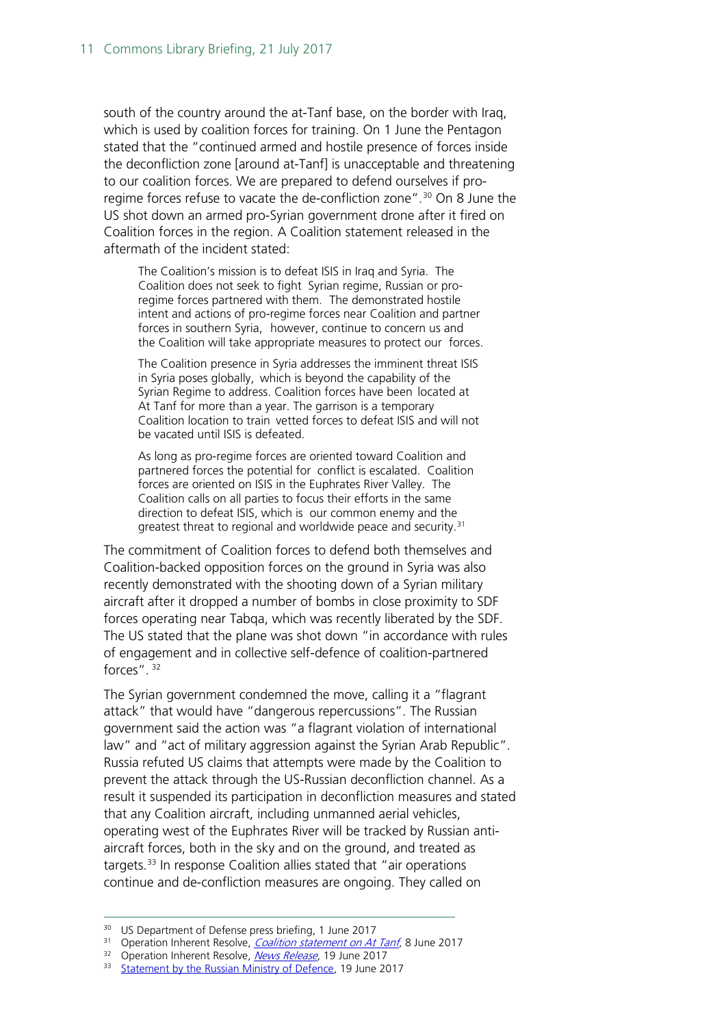south of the country around the at-Tanf base, on the border with Iraq, which is used by coalition forces for training. On 1 June the Pentagon stated that the "continued armed and hostile presence of forces inside the deconfliction zone [around at-Tanf] is unacceptable and threatening to our coalition forces. We are prepared to defend ourselves if pro-regime forces refuse to vacate the de-confliction zone".<sup>[30](#page-10-0)</sup> On 8 June the US shot down an armed pro-Syrian government drone after it fired on Coalition forces in the region. A Coalition statement released in the aftermath of the incident stated:

The Coalition's mission is to defeat ISIS in Iraq and Syria. The Coalition does not seek to fight Syrian regime, Russian or proregime forces partnered with them. The demonstrated hostile intent and actions of pro-regime forces near Coalition and partner forces in southern Syria, however, continue to concern us and the Coalition will take appropriate measures to protect our forces.

The Coalition presence in Syria addresses the imminent threat ISIS in Syria poses globally, which is beyond the capability of the Syrian Regime to address. Coalition forces have been located at At Tanf for more than a year. The garrison is a temporary Coalition location to train vetted forces to defeat ISIS and will not be vacated until ISIS is defeated.

As long as pro-regime forces are oriented toward Coalition and partnered forces the potential for conflict is escalated. Coalition forces are oriented on ISIS in the Euphrates River Valley. The Coalition calls on all parties to focus their efforts in the same direction to defeat ISIS, which is our common enemy and the greatest threat to regional and worldwide peace and security.<sup>[31](#page-10-1)</sup>

The commitment of Coalition forces to defend both themselves and Coalition-backed opposition forces on the ground in Syria was also recently demonstrated with the shooting down of a Syrian military aircraft after it dropped a number of bombs in close proximity to SDF forces operating near Tabqa, which was recently liberated by the SDF. The US stated that the plane was shot down "in accordance with rules of engagement and in collective self-defence of coalition-partnered forces". [32](#page-10-2)

The Syrian government condemned the move, calling it a "flagrant attack" that would have "dangerous repercussions". The Russian government said the action was "a flagrant violation of international law" and "act of military aggression against the Syrian Arab Republic". Russia refuted US claims that attempts were made by the Coalition to prevent the attack through the US-Russian deconfliction channel. As a result it suspended its participation in deconfliction measures and stated that any Coalition aircraft, including unmanned aerial vehicles, operating west of the Euphrates River will be tracked by Russian antiaircraft forces, both in the sky and on the ground, and treated as targets.[33](#page-10-3) In response Coalition allies stated that "air operations continue and de-confliction measures are ongoing. They called on

<span id="page-10-1"></span><span id="page-10-0"></span><sup>&</sup>lt;sup>30</sup> US Department of Defense press briefing[,](http://www.inherentresolve.mil/News/News-Releases/Article/1217917/coalition-defends-partner-forces-from-syrian-fighter-jet-attack/) 1 June 2017<br><sup>31</sup> Operation Inherent Resolve, *Coalition statement on At Tanf*, 8 June 2017<br><sup>32</sup> Operation Inherent Resolve, *News Release*, 19 June 2017<br><sup>33</sup> Statement by the R

<span id="page-10-2"></span>

<span id="page-10-3"></span>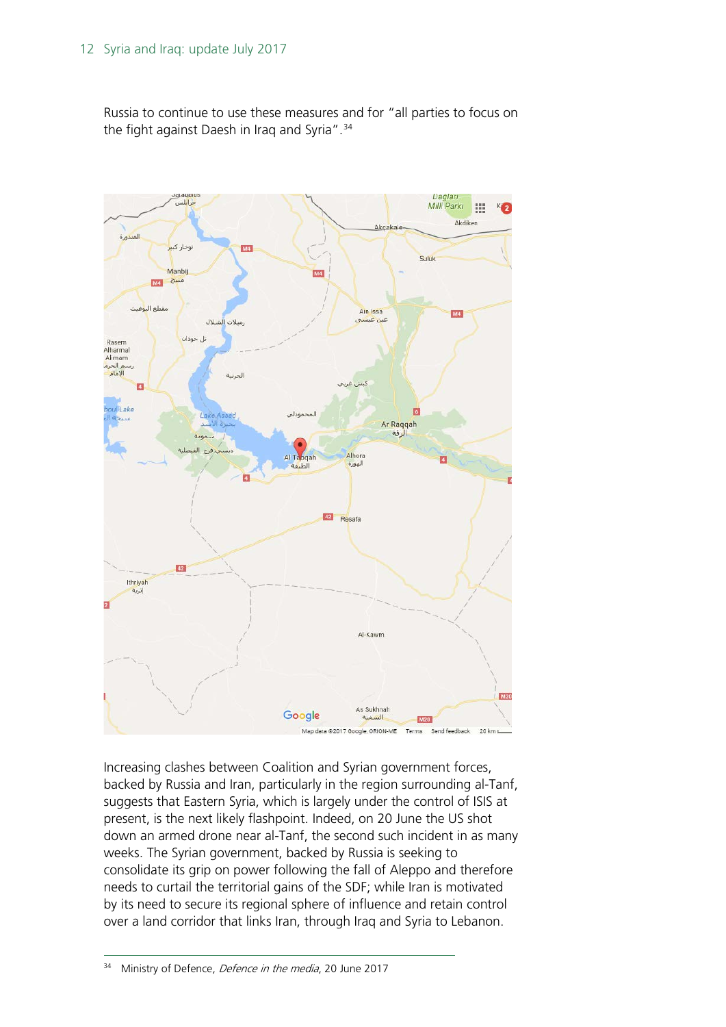Russia to continue to use these measures and for "all parties to focus on the fight against Daesh in Iraq and Syria".<sup>[34](#page-11-0)</sup>



<span id="page-11-0"></span>Increasing clashes between Coalition and Syrian government forces, backed by Russia and Iran, particularly in the region surrounding al-Tanf, suggests that Eastern Syria, which is largely under the control of ISIS at present, is the next likely flashpoint. Indeed, on 20 June the US shot down an armed drone near al-Tanf, the second such incident in as many weeks. The Syrian government, backed by Russia is seeking to consolidate its grip on power following the fall of Aleppo and therefore needs to curtail the territorial gains of the SDF; while Iran is motivated by its need to secure its regional sphere of influence and retain control over a land corridor that links Iran, through Iraq and Syria to Lebanon.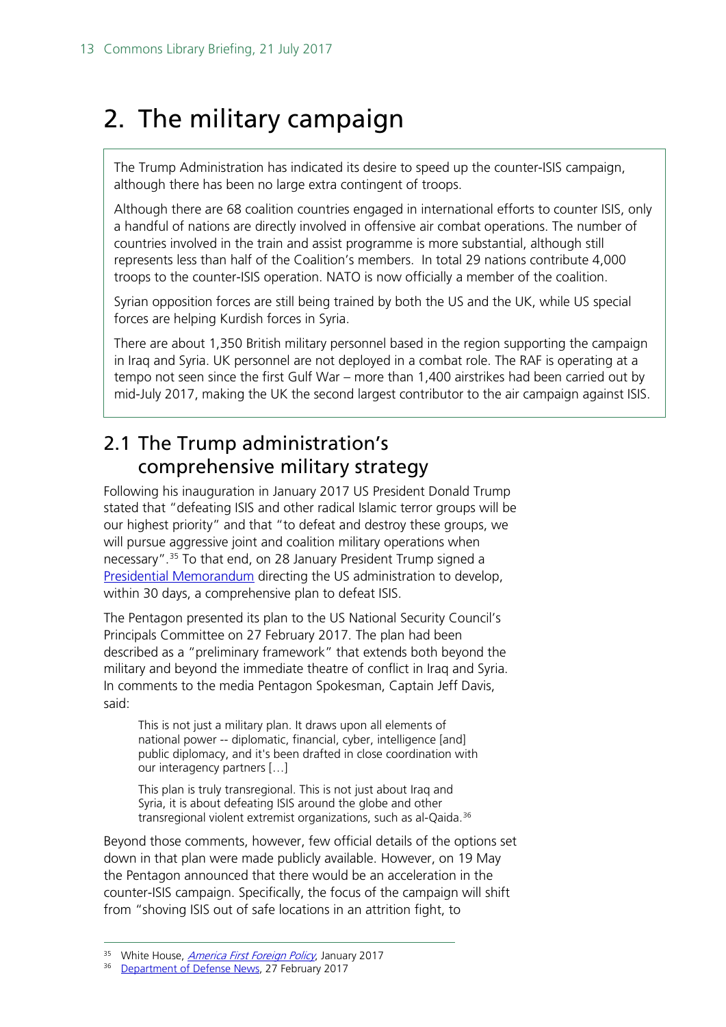## <span id="page-12-0"></span>2. The military campaign

The Trump Administration has indicated its desire to speed up the counter-ISIS campaign, although there has been no large extra contingent of troops.

Although there are 68 coalition countries engaged in international efforts to counter ISIS, only a handful of nations are directly involved in offensive air combat operations. The number of countries involved in the train and assist programme is more substantial, although still represents less than half of the Coalition's members. In total 29 nations contribute 4,000 troops to the counter-ISIS operation. NATO is now officially a member of the coalition.

Syrian opposition forces are still being trained by both the US and the UK, while US special forces are helping Kurdish forces in Syria.

There are about 1,350 British military personnel based in the region supporting the campaign in Iraq and Syria. UK personnel are not deployed in a combat role. The RAF is operating at a tempo not seen since the first Gulf War – more than 1,400 airstrikes had been carried out by mid-July 2017, making the UK the second largest contributor to the air campaign against ISIS.

## <span id="page-12-1"></span>2.1 The Trump administration's comprehensive military strategy

Following his inauguration in January 2017 US President Donald Trump stated that "defeating ISIS and other radical Islamic terror groups will be our highest priority" and that "to defeat and destroy these groups, we will pursue aggressive joint and coalition military operations when necessary".[35](#page-12-2) To that end, on 28 January President Trump signed a [Presidential Memorandum](https://www.whitehouse.gov/the-press-office/2017/01/28/plan-defeat-islamic-state-iraq) directing the US administration to develop, within 30 days, a comprehensive plan to defeat ISIS.

The Pentagon presented its plan to the US National Security Council's Principals Committee on 27 February 2017. The plan had been described as a "preliminary framework" that extends both beyond the military and beyond the immediate theatre of conflict in Iraq and Syria. In comments to the media Pentagon Spokesman, Captain Jeff Davis, said:

This is not just a military plan. It draws upon all elements of national power -- diplomatic, financial, cyber, intelligence [and] public diplomacy, and it's been drafted in close coordination with our interagency partners […]

This plan is truly transregional. This is not just about Iraq and Syria, it is about defeating ISIS around the globe and other transregional violent extremist organizations, such as al-Qaida.<sup>[36](#page-12-3)</sup>

Beyond those comments, however, few official details of the options set down in that plan were made publicly available. However, on 19 May the Pentagon announced that there would be an acceleration in the counter-ISIS campaign. Specifically, the focus of the campaign will shift from "shoving ISIS out of safe locations in an attrition fight, to

<span id="page-12-2"></span><sup>35</sup> White House, *[America First Foreign Policy](https://www.whitehouse.gov/america-first-foreign-policy)*, January 2017

<span id="page-12-3"></span><sup>&</sup>lt;sup>36</sup> [Department of Defense News,](https://www.defense.gov/News/Article/Article/1096071/pentagon-spokesman-discusses-isis-preliminary-plan-budget-amendment) 27 February 2017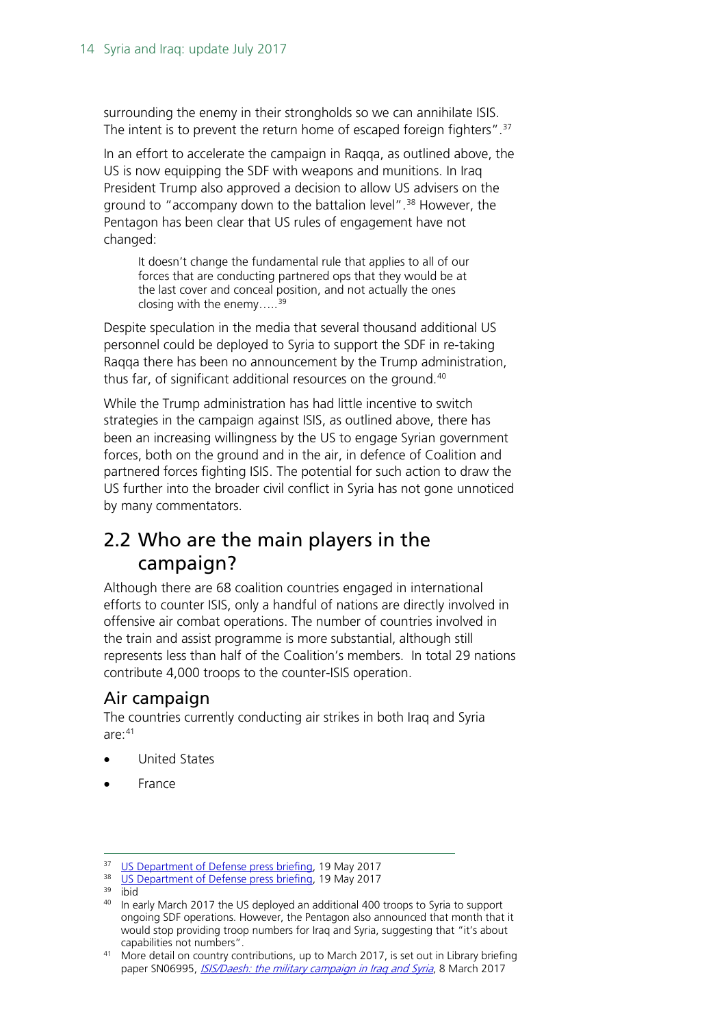surrounding the enemy in their strongholds so we can annihilate ISIS. The intent is to prevent the return home of escaped foreign fighters".<sup>[37](#page-13-2)</sup>

In an effort to accelerate the campaign in Raqqa, as outlined above, the US is now equipping the SDF with weapons and munitions. In Iraq President Trump also approved a decision to allow US advisers on the ground to "accompany down to the battalion level".<sup>[38](#page-13-3)</sup> However, the Pentagon has been clear that US rules of engagement have not changed:

It doesn't change the fundamental rule that applies to all of our forces that are conducting partnered ops that they would be at the last cover and conceal position, and not actually the ones closing with the enemy..... $39$ 

Despite speculation in the media that several thousand additional US personnel could be deployed to Syria to support the SDF in re-taking Raqqa there has been no announcement by the Trump administration, thus far, of significant additional resources on the ground.<sup>[40](#page-13-5)</sup>

While the Trump administration has had little incentive to switch strategies in the campaign against ISIS, as outlined above, there has been an increasing willingness by the US to engage Syrian government forces, both on the ground and in the air, in defence of Coalition and partnered forces fighting ISIS. The potential for such action to draw the US further into the broader civil conflict in Syria has not gone unnoticed by many commentators.

## <span id="page-13-0"></span>2.2 Who are the main players in the campaign?

Although there are 68 coalition countries engaged in international efforts to counter ISIS, only a handful of nations are directly involved in offensive air combat operations. The number of countries involved in the train and assist programme is more substantial, although still represents less than half of the Coalition's members. In total 29 nations contribute 4,000 troops to the counter-ISIS operation.

## <span id="page-13-1"></span>Air campaign

The countries currently conducting air strikes in both Iraq and Syria are: [41](#page-13-6)

- United States
- France

<span id="page-13-2"></span><sup>&</sup>lt;sup>37</sup> [US Department of Defense press briefing,](https://www.defense.gov/News/Transcripts/Transcript-View/Article/1188225/department-of-defense-press-briefing-by-secretary-mattis-general-dunford-and-sp/) 19 May 2017<br><sup>38</sup> US Department of Defense press briefing, 19 May 2017

<span id="page-13-4"></span><span id="page-13-3"></span><sup>39</sup> ibid

<span id="page-13-5"></span><sup>&</sup>lt;sup>40</sup> In early March 2017 the US deployed an additional 400 troops to Syria to support ongoing SDF operations. However, the Pentagon also announced that month that it would stop providing troop numbers for Iraq and Syria, suggesting that "it's about capabilities not numbers".

<span id="page-13-6"></span><sup>&</sup>lt;sup>41</sup> More detail on country contributions, up to March 2017, is set out in Library briefing paper SN06995, ISIS/Daesh: the military campaign in Irag and Syria, 8 March 2017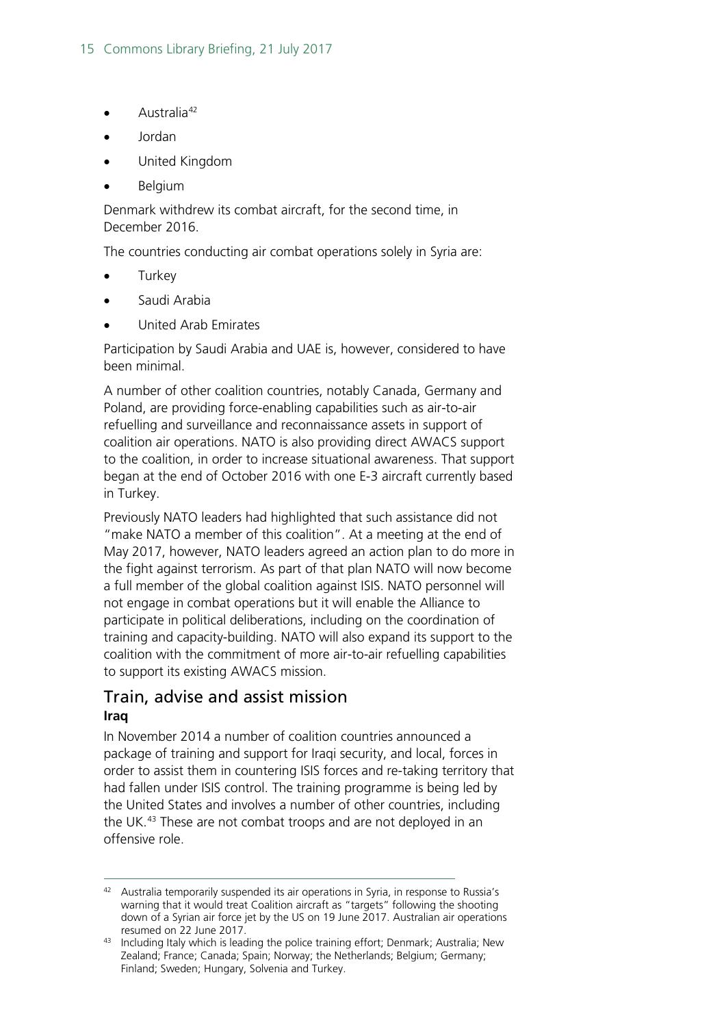- Australia<sup>[42](#page-14-1)</sup>
- Jordan
- United Kingdom
- Belgium

Denmark withdrew its combat aircraft, for the second time, in December 2016.

The countries conducting air combat operations solely in Syria are:

- **Turkey**
- Saudi Arabia
- United Arab Emirates

Participation by Saudi Arabia and UAE is, however, considered to have been minimal.

A number of other coalition countries, notably Canada, Germany and Poland, are providing force-enabling capabilities such as air-to-air refuelling and surveillance and reconnaissance assets in support of coalition air operations. NATO is also providing direct AWACS support to the coalition, in order to increase situational awareness. That support began at the end of October 2016 with one E-3 aircraft currently based in Turkey.

Previously NATO leaders had highlighted that such assistance did not "make NATO a member of this coalition". At a meeting at the end of May 2017, however, NATO leaders agreed an action plan to do more in the fight against terrorism. As part of that plan NATO will now become a full member of the global coalition against ISIS. NATO personnel will not engage in combat operations but it will enable the Alliance to participate in political deliberations, including on the coordination of training and capacity-building. NATO will also expand its support to the coalition with the commitment of more air-to-air refuelling capabilities to support its existing AWACS mission.

### <span id="page-14-0"></span>Train, advise and assist mission **Iraq**

In November 2014 a number of coalition countries announced a package of training and support for Iraqi security, and local, forces in order to assist them in countering ISIS forces and re-taking territory that had fallen under ISIS control. The training programme is being led by the United States and involves a number of other countries, including the UK.<sup>[43](#page-14-2)</sup> These are not combat troops and are not deployed in an offensive role.

<span id="page-14-1"></span><sup>42</sup> Australia temporarily suspended its air operations in Syria, in response to Russia's warning that it would treat Coalition aircraft as "targets" following the shooting down of a Syrian air force jet by the US on 19 June 2017. Australian air operations

<span id="page-14-2"></span>resumed on 22 June 2017.<br><sup>43</sup> Including Italy which is leading the police training effort; Denmark; Australia; New Zealand; France; Canada; Spain; Norway; the Netherlands; Belgium; Germany; Finland; Sweden; Hungary, Solvenia and Turkey.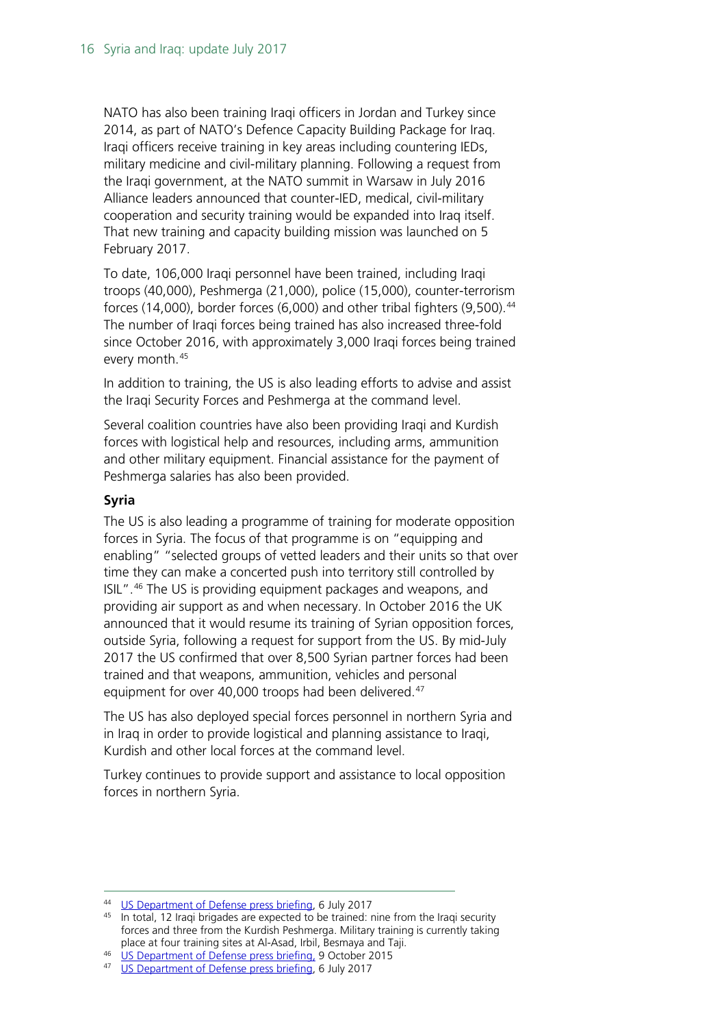NATO has also been training Iraqi officers in Jordan and Turkey since 2014, as part of NATO's Defence Capacity Building Package for Iraq. Iraqi officers receive training in key areas including countering IEDs, military medicine and civil-military planning. Following a request from the Iraqi government, at the NATO summit in Warsaw in July 2016 Alliance leaders announced that counter-IED, medical, civil-military cooperation and security training would be expanded into Iraq itself. That new training and capacity building mission was launched on 5 February 2017.

To date, 106,000 Iraqi personnel have been trained, including Iraqi troops (40,000), Peshmerga (21,000), police (15,000), counter-terrorism forces (14,000), border forces (6,000) and other tribal fighters (9,500). [44](#page-15-0) The number of Iraqi forces being trained has also increased three-fold since October 2016, with approximately 3,000 Iraqi forces being trained every month.[45](#page-15-1)

In addition to training, the US is also leading efforts to advise and assist the Iraqi Security Forces and Peshmerga at the command level.

Several coalition countries have also been providing Iraqi and Kurdish forces with logistical help and resources, including arms, ammunition and other military equipment. Financial assistance for the payment of Peshmerga salaries has also been provided.

### **Syria**

The US is also leading a programme of training for moderate opposition forces in Syria. The focus of that programme is on "equipping and enabling" "selected groups of vetted leaders and their units so that over time they can make a concerted push into territory still controlled by ISIL".[46](#page-15-2) The US is providing equipment packages and weapons, and providing air support as and when necessary. In October 2016 the UK announced that it would resume its training of Syrian opposition forces, outside Syria, following a request for support from the US. By mid-July 2017 the US confirmed that over 8,500 Syrian partner forces had been trained and that weapons, ammunition, vehicles and personal equipment for over 40,000 troops had been delivered.<sup>[47](#page-15-3)</sup>

The US has also deployed special forces personnel in northern Syria and in Iraq in order to provide logistical and planning assistance to Iraqi, Kurdish and other local forces at the command level.

Turkey continues to provide support and assistance to local opposition forces in northern Syria.

<span id="page-15-1"></span><span id="page-15-0"></span><sup>&</sup>lt;sup>44</sup> [US Department of Defense press briefing,](https://www.defense.gov/News/Transcripts/Transcript-View/Article/1239622/department-of-defense-press-briefing-by-brigadier-general-anderson-via-teleconf/) 6 July 2017<br><sup>45</sup> In total, 12 Iraqi brigades are expected to be trained: nine from the Iraqi security forces and three from the Kurdish Peshmerga. Military training is currently taking place at four training sites at Al-Asad, Irbil, Besmaya and Taji.

<span id="page-15-3"></span><span id="page-15-2"></span><sup>46</sup> [US Department of Defense press briefing,](https://www.defense.gov/News/News-Releases/News-Release-View/Article/622610/statement-on-syria/) 9 October 2015

<sup>47</sup> [US Department of Defense press briefing,](https://www.defense.gov/News/Transcripts/Transcript-View/Article/1239622/department-of-defense-press-briefing-by-brigadier-general-anderson-via-teleconf/) 6 July 2017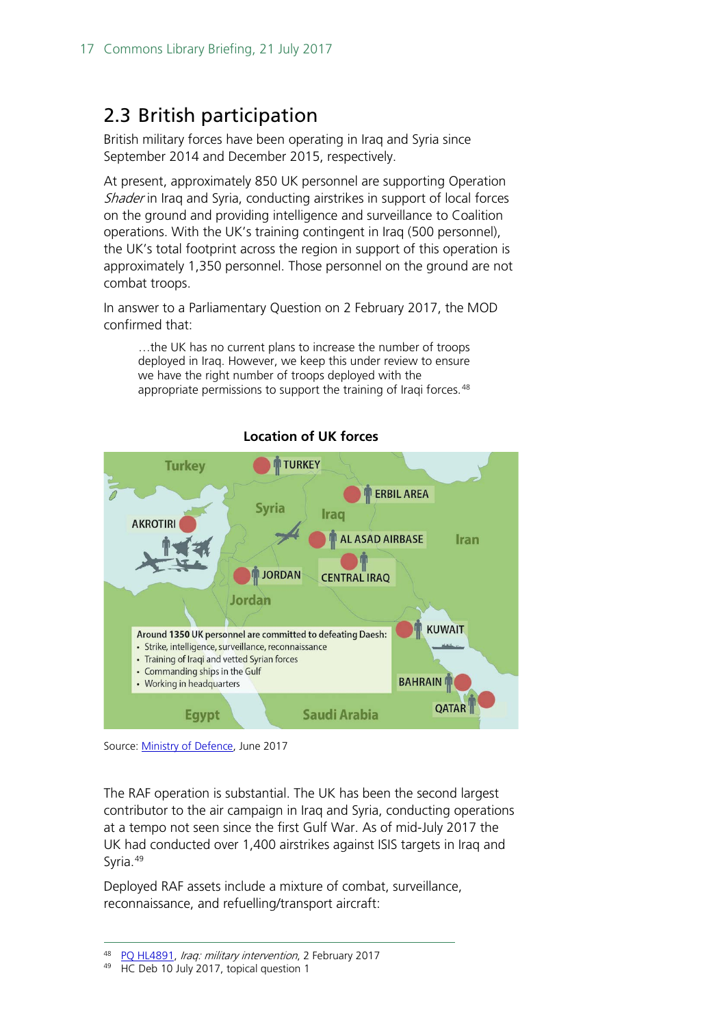## <span id="page-16-0"></span>2.3 British participation

British military forces have been operating in Iraq and Syria since September 2014 and December 2015, respectively.

At present, approximately 850 UK personnel are supporting Operation Shader in Iraq and Syria, conducting airstrikes in support of local forces on the ground and providing intelligence and surveillance to Coalition operations. With the UK's training contingent in Iraq (500 personnel), the UK's total footprint across the region in support of this operation is approximately 1,350 personnel. Those personnel on the ground are not combat troops.

In answer to a Parliamentary Question on 2 February 2017, the MOD confirmed that:

…the UK has no current plans to increase the number of troops deployed in Iraq. However, we keep this under review to ensure we have the right number of troops deployed with the appropriate permissions to support the training of Iraqi forces.<sup>[48](#page-16-1)</sup>



#### **Location of UK forces**

The RAF operation is substantial. The UK has been the second largest contributor to the air campaign in Iraq and Syria, conducting operations at a tempo not seen since the first Gulf War. As of mid-July 2017 the UK had conducted over 1,400 airstrikes against ISIS targets in Iraq and Syria.<sup>[49](#page-16-2)</sup>

Deployed RAF assets include a mixture of combat, surveillance, reconnaissance, and refuelling/transport aircraft:

Source: [Ministry of Defence,](https://www.gov.uk/government/news/update-air-strikes-against-daesh) June 2017

<span id="page-16-2"></span><span id="page-16-1"></span><sup>&</sup>lt;sup>48</sup> PQ HL4891, Iraq: military intervention, 2 February 2017<br><sup>49</sup> HC Deb 10 July 2017, topical question 1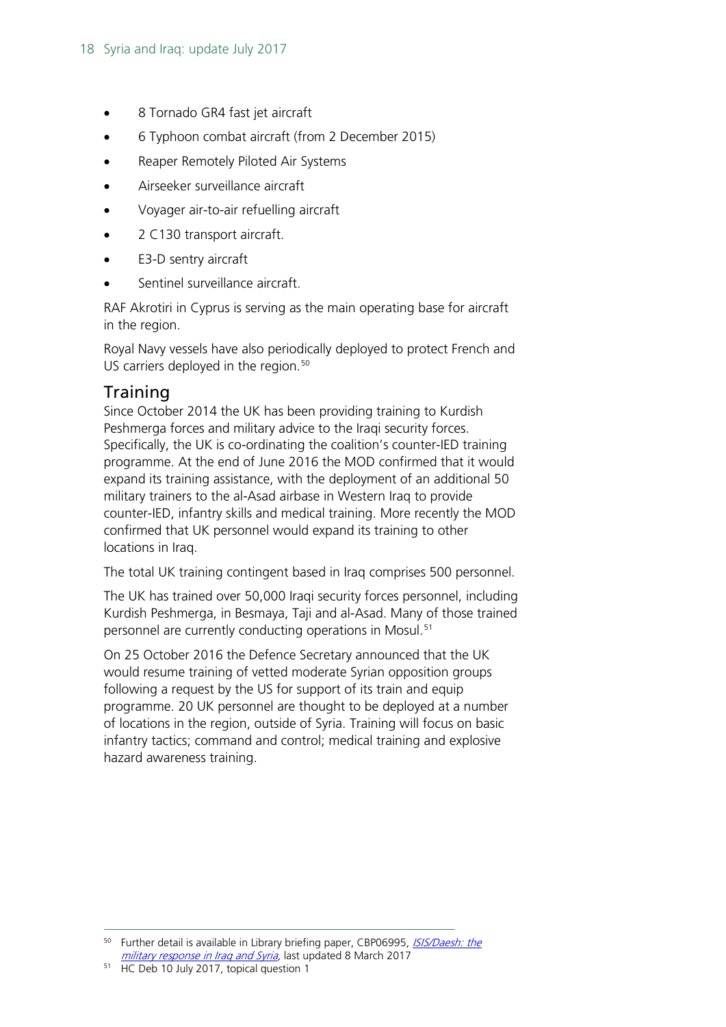- 8 Tornado GR4 fast jet aircraft
- 6 Typhoon combat aircraft (from 2 December 2015)
- Reaper Remotely Piloted Air Systems
- Airseeker surveillance aircraft
- Voyager air-to-air refuelling aircraft
- 2 C130 transport aircraft.
- E3-D sentry aircraft
- Sentinel surveillance aircraft.

RAF Akrotiri in Cyprus is serving as the main operating base for aircraft in the region.

Royal Navy vessels have also periodically deployed to protect French and US carriers deployed in the region.<sup>[50](#page-17-1)</sup>

## <span id="page-17-0"></span>**Training**

Since October 2014 the UK has been providing training to Kurdish Peshmerga forces and military advice to the Iraqi security forces. Specifically, the UK is co-ordinating the coalition's counter-IED training programme. At the end of June 2016 the MOD confirmed that it would expand its training assistance, with the deployment of an additional 50 military trainers to the al-Asad airbase in Western Iraq to provide counter-IED, infantry skills and medical training. More recently the MOD confirmed that UK personnel would expand its training to other locations in Iraq.

The total UK training contingent based in Iraq comprises 500 personnel.

The UK has trained over 50,000 Iraqi security forces personnel, including Kurdish Peshmerga, in Besmaya, Taji and al-Asad. Many of those trained personnel are currently conducting operations in Mosul.<sup>[51](#page-17-2)</sup>

On 25 October 2016 the Defence Secretary announced that the UK would resume training of vetted moderate Syrian opposition groups following a request by the US for support of its train and equip programme. 20 UK personnel are thought to be deployed at a number of locations in the region, outside of Syria. Training will focus on basic infantry tactics; command and control; medical training and explosive hazard awareness training.

<span id="page-17-1"></span><sup>&</sup>lt;sup>50</sup> Further detail is available in Library briefing paper, CBP06995, *ISIS/Daesh: the* [military response in Iraq and Syria](http://researchbriefings.parliament.uk/ResearchBriefing/Summary/CBP-8011), last updated 8 March 2017

<span id="page-17-2"></span><sup>&</sup>lt;sup>51</sup> HC Deb 10 July 2017, topical question 1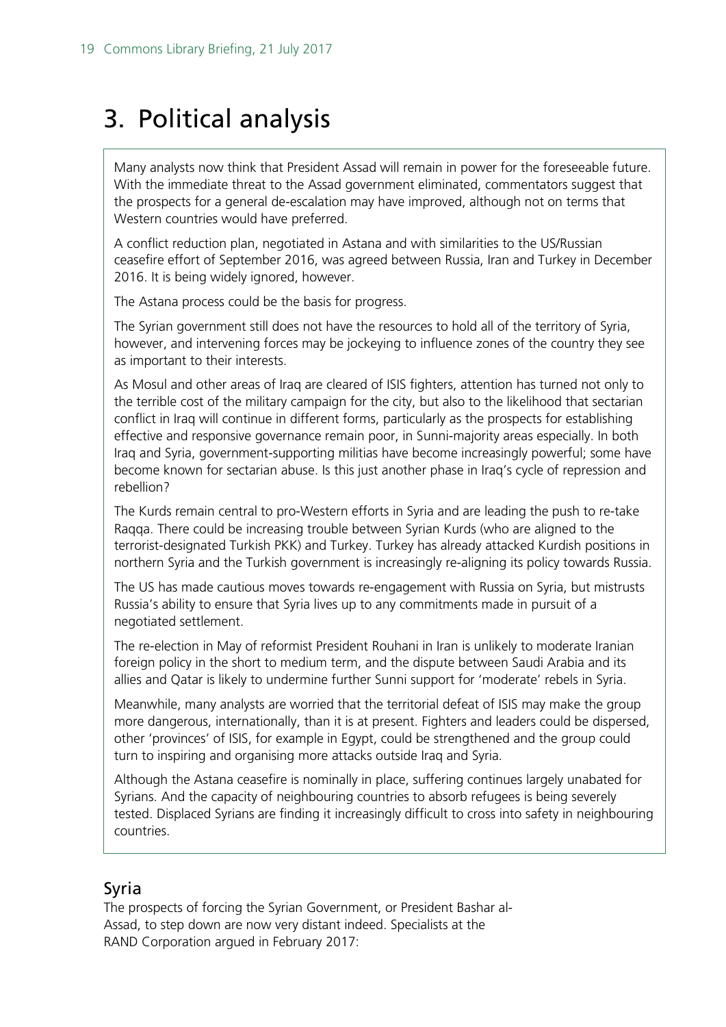## <span id="page-18-0"></span>3. Political analysis

Many analysts now think that President Assad will remain in power for the foreseeable future. With the immediate threat to the Assad government eliminated, commentators suggest that the prospects for a general de-escalation may have improved, although not on terms that Western countries would have preferred.

A conflict reduction plan, negotiated in Astana and with similarities to the US/Russian ceasefire effort of September 2016, was agreed between Russia, Iran and Turkey in December 2016. It is being widely ignored, however.

The Astana process could be the basis for progress.

The Syrian government still does not have the resources to hold all of the territory of Syria, however, and intervening forces may be jockeying to influence zones of the country they see as important to their interests.

As Mosul and other areas of Iraq are cleared of ISIS fighters, attention has turned not only to the terrible cost of the military campaign for the city, but also to the likelihood that sectarian conflict in Iraq will continue in different forms, particularly as the prospects for establishing effective and responsive governance remain poor, in Sunni-majority areas especially. In both Iraq and Syria, government-supporting militias have become increasingly powerful; some have become known for sectarian abuse. Is this just another phase in Iraq's cycle of repression and rebellion?

The Kurds remain central to pro-Western efforts in Syria and are leading the push to re-take Raqqa. There could be increasing trouble between Syrian Kurds (who are aligned to the terrorist-designated Turkish PKK) and Turkey. Turkey has already attacked Kurdish positions in northern Syria and the Turkish government is increasingly re-aligning its policy towards Russia.

The US has made cautious moves towards re-engagement with Russia on Syria, but mistrusts Russia's ability to ensure that Syria lives up to any commitments made in pursuit of a negotiated settlement.

The re-election in May of reformist President Rouhani in Iran is unlikely to moderate Iranian foreign policy in the short to medium term, and the dispute between Saudi Arabia and its allies and Qatar is likely to undermine further Sunni support for 'moderate' rebels in Syria.

Meanwhile, many analysts are worried that the territorial defeat of ISIS may make the group more dangerous, internationally, than it is at present. Fighters and leaders could be dispersed, other 'provinces' of ISIS, for example in Egypt, could be strengthened and the group could turn to inspiring and organising more attacks outside Iraq and Syria.

Although the Astana ceasefire is nominally in place, suffering continues largely unabated for Syrians. And the capacity of neighbouring countries to absorb refugees is being severely tested. Displaced Syrians are finding it increasingly difficult to cross into safety in neighbouring countries.

## <span id="page-18-1"></span>Syria

The prospects of forcing the Syrian Government, or President Bashar al-Assad, to step down are now very distant indeed. Specialists at the RAND Corporation argued in February 2017: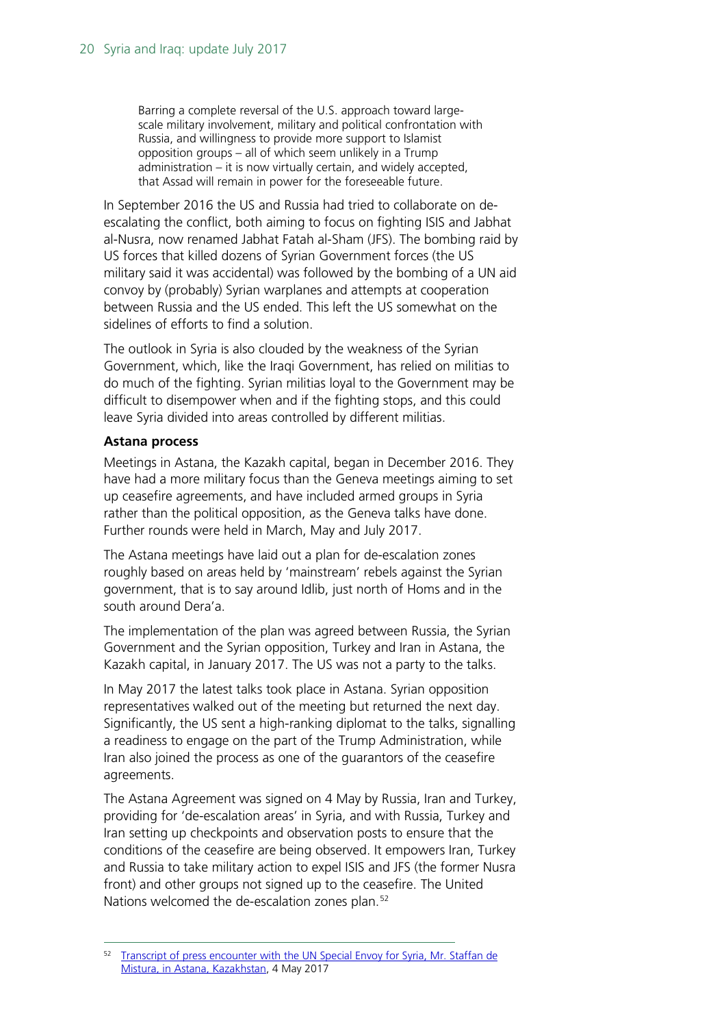Barring a complete reversal of the U.S. approach toward largescale military involvement, military and political confrontation with Russia, and willingness to provide more support to Islamist opposition groups – all of which seem unlikely in a Trump administration – it is now virtually certain, and widely accepted, that Assad will remain in power for the foreseeable future.

In September 2016 the US and Russia had tried to collaborate on deescalating the conflict, both aiming to focus on fighting ISIS and Jabhat al-Nusra, now renamed Jabhat Fatah al-Sham (JFS). The bombing raid by US forces that killed dozens of Syrian Government forces (the US military said it was accidental) was followed by the bombing of a UN aid convoy by (probably) Syrian warplanes and attempts at cooperation between Russia and the US ended. This left the US somewhat on the sidelines of efforts to find a solution.

The outlook in Syria is also clouded by the weakness of the Syrian Government, which, like the Iraqi Government, has relied on militias to do much of the fighting. Syrian militias loyal to the Government may be difficult to disempower when and if the fighting stops, and this could leave Syria divided into areas controlled by different militias.

#### **Astana process**

Meetings in Astana, the Kazakh capital, began in December 2016. They have had a more military focus than the Geneva meetings aiming to set up ceasefire agreements, and have included armed groups in Syria rather than the political opposition, as the Geneva talks have done. Further rounds were held in March, May and July 2017.

The Astana meetings have laid out a plan for de-escalation zones roughly based on areas held by 'mainstream' rebels against the Syrian government, that is to say around Idlib, just north of Homs and in the south around Dera'a.

The implementation of the plan was agreed between Russia, the Syrian Government and the Syrian opposition, Turkey and Iran in Astana, the Kazakh capital, in January 2017. The US was not a party to the talks.

In May 2017 the latest talks took place in Astana. Syrian opposition representatives walked out of the meeting but returned the next day. Significantly, the US sent a high-ranking diplomat to the talks, signalling a readiness to engage on the part of the Trump Administration, while Iran also joined the process as one of the guarantors of the ceasefire agreements.

The Astana Agreement was signed on 4 May by Russia, Iran and Turkey, providing for 'de-escalation areas' in Syria, and with Russia, Turkey and Iran setting up checkpoints and observation posts to ensure that the conditions of the ceasefire are being observed. It empowers Iran, Turkey and Russia to take military action to expel ISIS and JFS (the former Nusra front) and other groups not signed up to the ceasefire. The United Nations welcomed the de-escalation zones plan.<sup>[52](#page-19-0)</sup>

<span id="page-19-0"></span><sup>&</sup>lt;sup>52</sup> Transcript of press encounter with the UN Special Envoy for Syria, Mr. Staffan de [Mistura, in Astana, Kazakhstan,](http://www.unog.ch/80256EDD006B9C2E/(httpNewsByYear_en)/5C6AD8D0EAB0820BC1258117002CA5BD?OpenDocument) 4 May 2017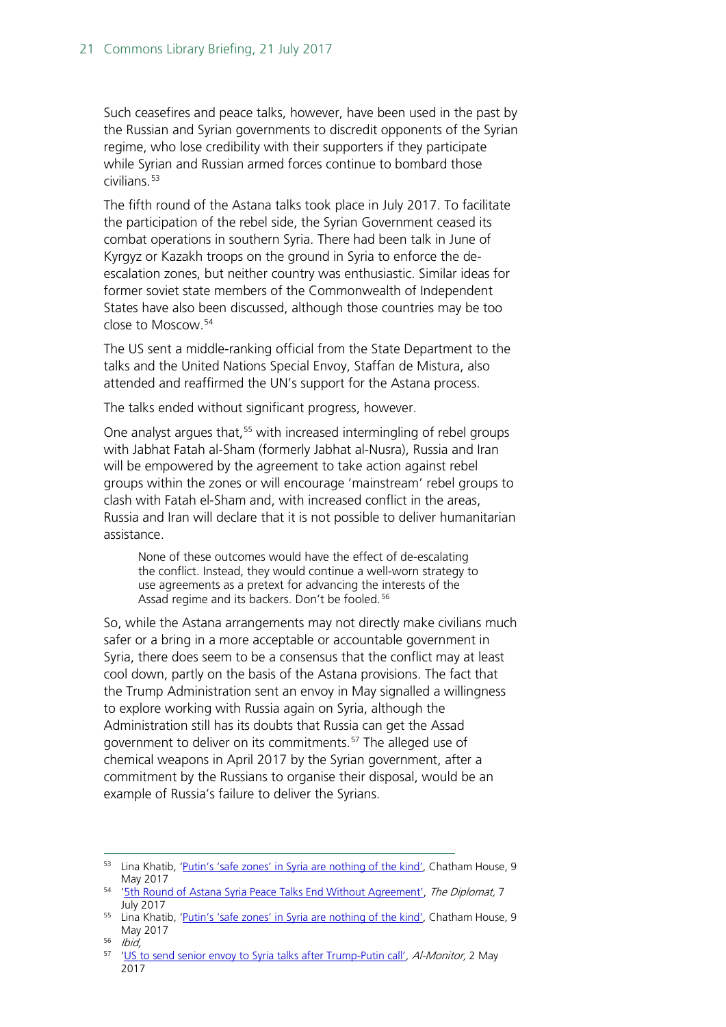Such ceasefires and peace talks, however, have been used in the past by the Russian and Syrian governments to discredit opponents of the Syrian regime, who lose credibility with their supporters if they participate while Syrian and Russian armed forces continue to bombard those  $civilians.<sup>53</sup>$  $civilians.<sup>53</sup>$  $civilians.<sup>53</sup>$ 

The fifth round of the Astana talks took place in July 2017. To facilitate the participation of the rebel side, the Syrian Government ceased its combat operations in southern Syria. There had been talk in June of Kyrgyz or Kazakh troops on the ground in Syria to enforce the deescalation zones, but neither country was enthusiastic. Similar ideas for former soviet state members of the Commonwealth of Independent States have also been discussed, although those countries may be too close to Moscow.[54](#page-20-1)

The US sent a middle-ranking official from the State Department to the talks and the United Nations Special Envoy, Staffan de Mistura, also attended and reaffirmed the UN's support for the Astana process.

The talks ended without significant progress, however.

One analyst argues that,<sup>[55](#page-20-2)</sup> with increased intermingling of rebel groups with Jabhat Fatah al-Sham (formerly Jabhat al-Nusra), Russia and Iran will be empowered by the agreement to take action against rebel groups within the zones or will encourage 'mainstream' rebel groups to clash with Fatah el-Sham and, with increased conflict in the areas, Russia and Iran will declare that it is not possible to deliver humanitarian assistance.

None of these outcomes would have the effect of de-escalating the conflict. Instead, they would continue a well-worn strategy to use agreements as a pretext for advancing the interests of the Assad regime and its backers. Don't be fooled.<sup>[56](#page-20-3)</sup>

So, while the Astana arrangements may not directly make civilians much safer or a bring in a more acceptable or accountable government in Syria, there does seem to be a consensus that the conflict may at least cool down, partly on the basis of the Astana provisions. The fact that the Trump Administration sent an envoy in May signalled a willingness to explore working with Russia again on Syria, although the Administration still has its doubts that Russia can get the Assad government to deliver on its commitments.<sup>[57](#page-20-4)</sup> The alleged use of chemical weapons in April 2017 by the Syrian government, after a commitment by the Russians to organise their disposal, would be an example of Russia's failure to deliver the Syrians.

<span id="page-20-0"></span><sup>53</sup> Lina Khatib, ['Putin's 'safe zones' in Syria are nothing of the kind',](https://www.chathamhouse.org/expert/comment/putin-s-safe-zones-syria-are-nothing-kind?utm_source=Chatham%20House&utm_medium=email&utm_campaign=8241089_CH%20Newsletter%20-%2012.05.2017&utm_content=Syria-Title&dm_i=1S3M,4WMV5,NUT8AU,ILG2M,1) Chatham House, 9 May 2017

<span id="page-20-1"></span><sup>54</sup> ['5th Round of Astana Syria Peace Talks End Without Agreement',](http://thediplomat.com/2017/07/5th-round-of-astana-syria-peace-talks-end-without-agreement/) The Diplomat, 7 July 2017

<span id="page-20-2"></span><sup>&</sup>lt;sup>55</sup> Lina Khatib, '<u>Putin's 'safe zones' in Syria are nothing of the kind'</u>, Chatham House, 9 May 2017

<span id="page-20-3"></span><sup>56</sup> Ibid,

<span id="page-20-4"></span><sup>&</sup>lt;sup>57</sup> 'US to send [senior envoy to Syria talks after Trump-Putin call',](http://www.al-monitor.com/pulse/originals/2017/05/trump-putin-call-envoy-astana-syria-talks.html) Al-Monitor, 2 May 2017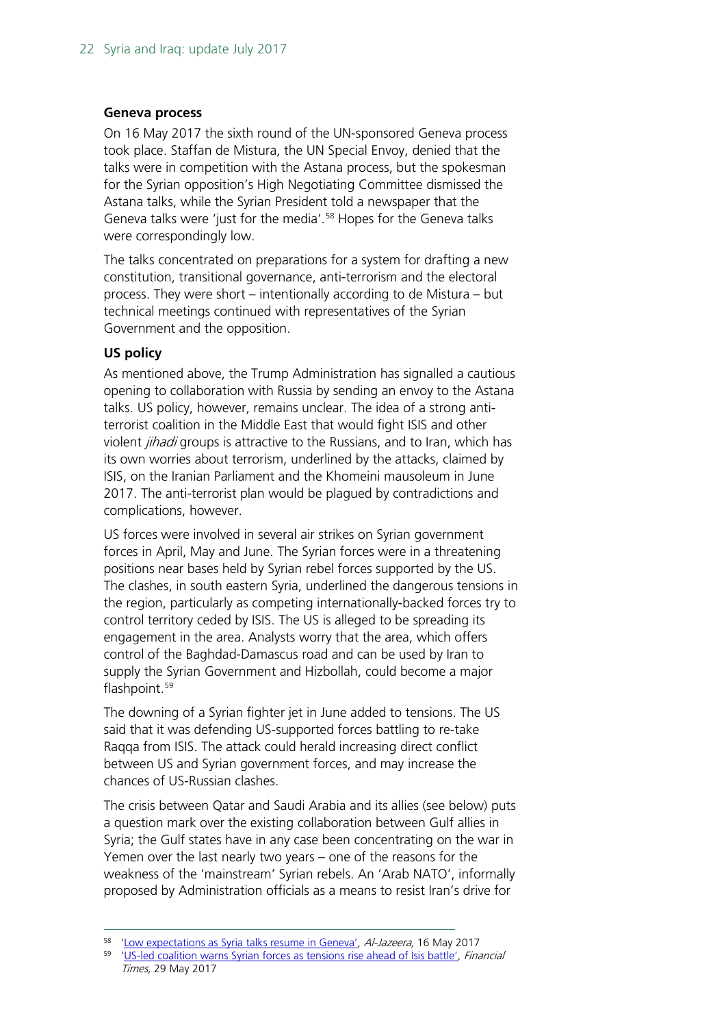#### **Geneva process**

On 16 May 2017 the sixth round of the UN-sponsored Geneva process took place. Staffan de Mistura, the UN Special Envoy, denied that the talks were in competition with the Astana process, but the spokesman for the Syrian opposition's High Negotiating Committee dismissed the Astana talks, while the Syrian President told a newspaper that the Geneva talks were 'just for the media'.<sup>[58](#page-21-0)</sup> Hopes for the Geneva talks were correspondingly low.

The talks concentrated on preparations for a system for drafting a new constitution, transitional governance, anti-terrorism and the electoral process. They were short – intentionally according to de Mistura – but technical meetings continued with representatives of the Syrian Government and the opposition.

#### **US policy**

As mentioned above, the Trump Administration has signalled a cautious opening to collaboration with Russia by sending an envoy to the Astana talks. US policy, however, remains unclear. The idea of a strong antiterrorist coalition in the Middle East that would fight ISIS and other violent jihadi groups is attractive to the Russians, and to Iran, which has its own worries about terrorism, underlined by the attacks, claimed by ISIS, on the Iranian Parliament and the Khomeini mausoleum in June 2017. The anti-terrorist plan would be plagued by contradictions and complications, however.

US forces were involved in several air strikes on Syrian government forces in April, May and June. The Syrian forces were in a threatening positions near bases held by Syrian rebel forces supported by the US. The clashes, in south eastern Syria, underlined the dangerous tensions in the region, particularly as competing internationally-backed forces try to control territory ceded by ISIS. The US is alleged to be spreading its engagement in the area. Analysts worry that the area, which offers control of the Baghdad-Damascus road and can be used by Iran to supply the Syrian Government and Hizbollah, could become a major flashpoint.<sup>[59](#page-21-1)</sup>

The downing of a Syrian fighter jet in June added to tensions. The US said that it was defending US-supported forces battling to re-take Raqqa from ISIS. The attack could herald increasing direct conflict between US and Syrian government forces, and may increase the chances of US-Russian clashes.

The crisis between Qatar and Saudi Arabia and its allies (see below) puts a question mark over the existing collaboration between Gulf allies in Syria; the Gulf states have in any case been concentrating on the war in Yemen over the last nearly two years – one of the reasons for the weakness of the 'mainstream' Syrian rebels. An 'Arab NATO', informally proposed by Administration officials as a means to resist Iran's drive for

<span id="page-21-0"></span><sup>&</sup>lt;sup>58</sup> ['Low expectations as Syria talks resume in Geneva',](http://www.aljazeera.com/news/2017/05/expectations-syria-talks-resume-geneva-170516084606967.html) Al-Jazeera, 16 May 2017

<span id="page-21-1"></span><sup>59</sup> ['US-led coalition warns Syrian forces as tensions rise ahead of Isis battle',](https://www.ft.com/content/f7127176-445e-11e7-8d27-59b4dd6296b8?mhq5j=e2) Financial Times, 29 May 2017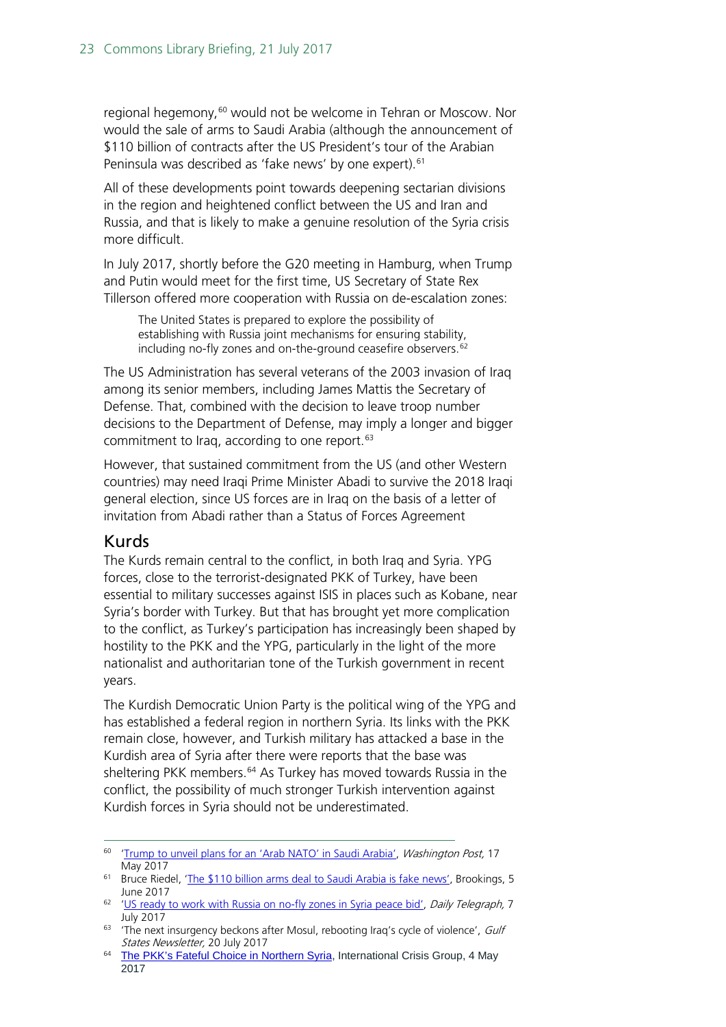regional hegemony,<sup>[60](#page-22-1)</sup> would not be welcome in Tehran or Moscow. Nor would the sale of arms to Saudi Arabia (although the announcement of \$110 billion of contracts after the US President's tour of the Arabian Peninsula was described as 'fake news' by one expert).<sup>[61](#page-22-2)</sup>

All of these developments point towards deepening sectarian divisions in the region and heightened conflict between the US and Iran and Russia, and that is likely to make a genuine resolution of the Syria crisis more difficult.

In July 2017, shortly before the G20 meeting in Hamburg, when Trump and Putin would meet for the first time, US Secretary of State Rex Tillerson offered more cooperation with Russia on de-escalation zones:

The United States is prepared to explore the possibility of establishing with Russia joint mechanisms for ensuring stability, including no-fly zones and on-the-ground ceasefire observers.<sup>[62](#page-22-3)</sup>

The US Administration has several veterans of the 2003 invasion of Iraq among its senior members, including James Mattis the Secretary of Defense. That, combined with the decision to leave troop number decisions to the Department of Defense, may imply a longer and bigger commitment to Iraq, according to one report.<sup>[63](#page-22-4)</sup>

However, that sustained commitment from the US (and other Western countries) may need Iraqi Prime Minister Abadi to survive the 2018 Iraqi general election, since US forces are in Iraq on the basis of a letter of invitation from Abadi rather than a Status of Forces Agreement

## <span id="page-22-0"></span>Kurds

The Kurds remain central to the conflict, in both Iraq and Syria. YPG forces, close to the terrorist-designated PKK of Turkey, have been essential to military successes against ISIS in places such as Kobane, near Syria's border with Turkey. But that has brought yet more complication to the conflict, as Turkey's participation has increasingly been shaped by hostility to the PKK and the YPG, particularly in the light of the more nationalist and authoritarian tone of the Turkish government in recent years.

The Kurdish Democratic Union Party is the political wing of the YPG and has established a federal region in northern Syria. Its links with the PKK remain close, however, and Turkish military has attacked a base in the Kurdish area of Syria after there were reports that the base was sheltering PKK members.<sup>[64](#page-22-5)</sup> As Turkey has moved towards Russia in the conflict, the possibility of much stronger Turkish intervention against Kurdish forces in Syria should not be underestimated.

<span id="page-22-1"></span><sup>&</sup>lt;sup>60</sup> ['Trump to unveil plans for an 'Arab NATO' in Saudi Arabia',](https://www.washingtonpost.com/news/josh-rogin/wp/2017/05/17/trump-to-unveil-plans-for-an-arab-nato-in-saudi-arabia/?utm_term=.7b07339d1d83) Washington Post, 17 May 2017

<span id="page-22-2"></span><sup>&</sup>lt;sup>61</sup> Bruce Riedel, ['The \\$110 billion arms deal to Saudi Arabia is fake news',](https://www.brookings.edu/blog/markaz/2017/06/05/the-110-billion-arms-deal-to-saudi-arabia-is-fake-news/) Brookings, 5 June 2017

<span id="page-22-3"></span><sup>&</sup>lt;sup>62</sup> 'US ready to work [with Russia on no-fly zones in Syria peace bid',](http://www.telegraph.co.uk/news/2017/07/06/us-says-would-consider-working-russia-no-fly-zones-syria-ahead/) Daily Telegraph, 7 July 2017

<span id="page-22-4"></span> $63$  'The next insurgency beckons after Mosul, rebooting Iraq's cycle of violence', Gulf States Newsletter, 20 July 2017

<span id="page-22-5"></span><sup>&</sup>lt;sup>64</sup> [The PKK's Fateful Choice in Northern Syria,](https://www.crisisgroup.org/middle-east-north-africa/eastern-mediterranean/syria/176-pkk-s-fateful-choice-northern-syria?utm_source=Sign+Up+to+Crisis+Group%27s+Email+Updates&utm_campaign=86c7af745c-EMAIL_CAMPAIGN_2017_05_03&utm_medium=email&utm_term=0_1dab8c11ea-86c7af745c-359581601) International Crisis Group, 4 May 2017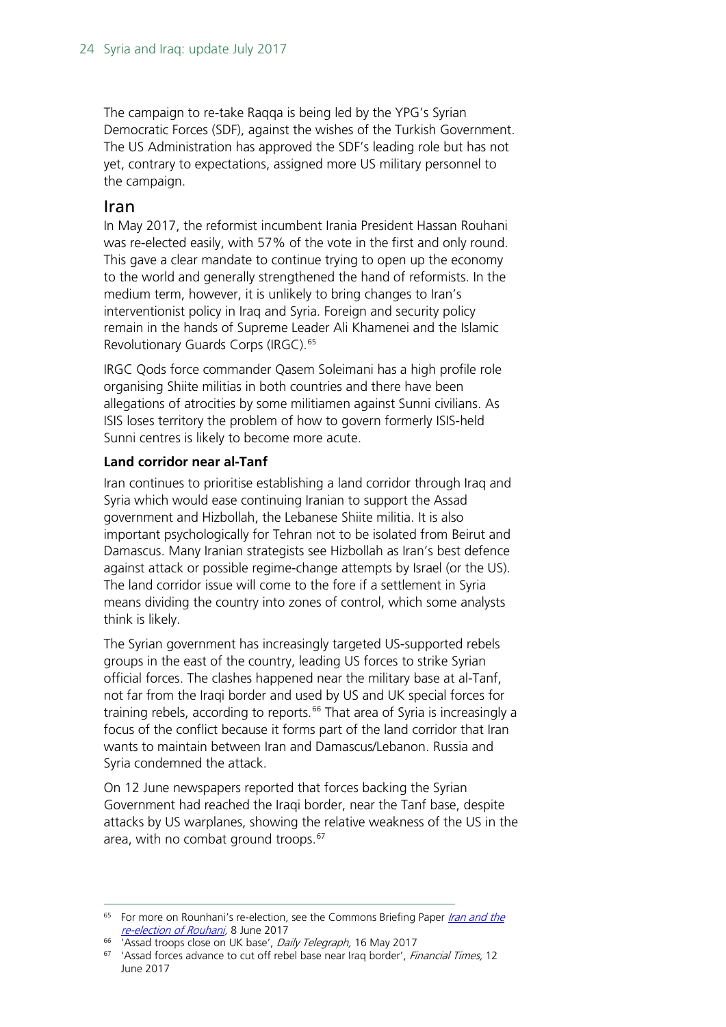The campaign to re-take Raqqa is being led by the YPG's Syrian Democratic Forces (SDF), against the wishes of the Turkish Government. The US Administration has approved the SDF's leading role but has not yet, contrary to expectations, assigned more US military personnel to the campaign.

#### <span id="page-23-0"></span>Iran

In May 2017, the reformist incumbent Irania President Hassan Rouhani was re-elected easily, with 57% of the vote in the first and only round. This gave a clear mandate to continue trying to open up the economy to the world and generally strengthened the hand of reformists. In the medium term, however, it is unlikely to bring changes to Iran's interventionist policy in Iraq and Syria. Foreign and security policy remain in the hands of Supreme Leader Ali Khamenei and the Islamic Revolutionary Guards Corps (IRGC).<sup>[65](#page-23-1)</sup>

IRGC Qods force commander Qasem Soleimani has a high profile role organising Shiite militias in both countries and there have been allegations of atrocities by some militiamen against Sunni civilians. As ISIS loses territory the problem of how to govern formerly ISIS-held Sunni centres is likely to become more acute.

#### **Land corridor near al-Tanf**

Iran continues to prioritise establishing a land corridor through Iraq and Syria which would ease continuing Iranian to support the Assad government and Hizbollah, the Lebanese Shiite militia. It is also important psychologically for Tehran not to be isolated from Beirut and Damascus. Many Iranian strategists see Hizbollah as Iran's best defence against attack or possible regime-change attempts by Israel (or the US). The land corridor issue will come to the fore if a settlement in Syria means dividing the country into zones of control, which some analysts think is likely.

The Syrian government has increasingly targeted US-supported rebels groups in the east of the country, leading US forces to strike Syrian official forces. The clashes happened near the military base at al-Tanf, not far from the Iraqi border and used by US and UK special forces for training rebels, according to reports.<sup>[66](#page-23-2)</sup> That area of Syria is increasingly a focus of the conflict because it forms part of the land corridor that Iran wants to maintain between Iran and Damascus/Lebanon. Russia and Syria condemned the attack.

On 12 June newspapers reported that forces backing the Syrian Government had reached the Iraqi border, near the Tanf base, despite attacks by US warplanes, showing the relative weakness of the US in the area, with no combat ground troops. [67](#page-23-3)

<span id="page-23-1"></span><sup>&</sup>lt;sup>65</sup> For more on Rounhani's re-election, see the Commons Briefing Paper *Iran and the* [re-election of Rouhani,](http://researchbriefings.files.parliament.uk/documents/CBP-7983/CBP-7983.pdf) 8 June 2017

<sup>&</sup>lt;sup>66</sup> 'Assad troops close on UK base', Daily Telegraph, 16 May 2017

<span id="page-23-3"></span><span id="page-23-2"></span><sup>&</sup>lt;sup>67</sup> 'Assad forces advance to cut off rebel base near Iraq border', Financial Times, 12 June 2017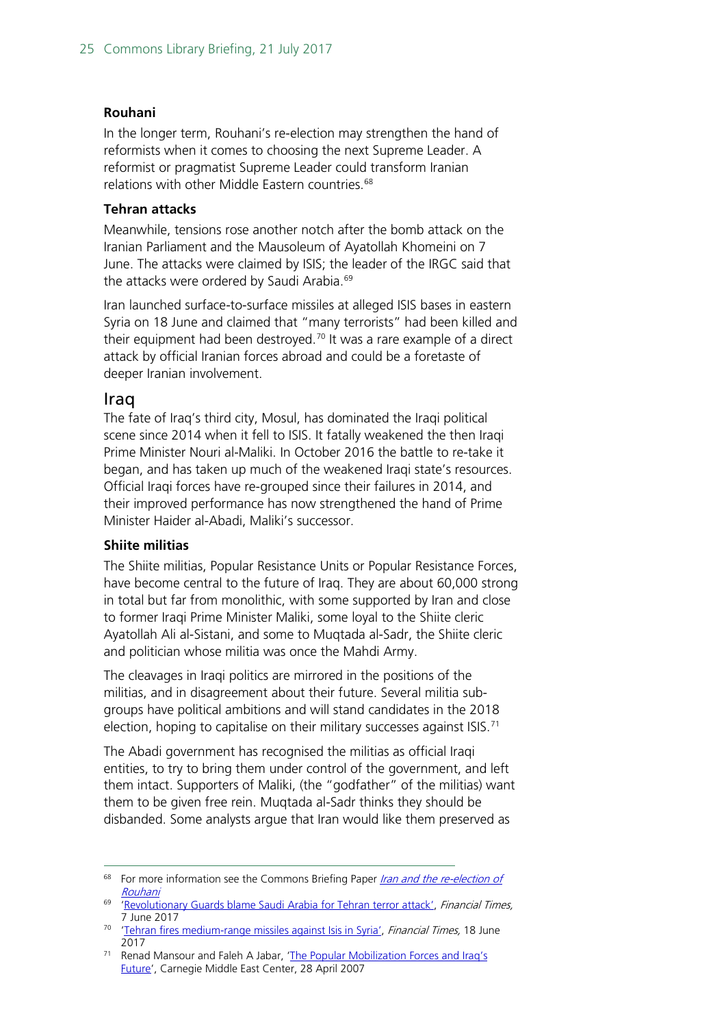#### **Rouhani**

In the longer term, Rouhani's re-election may strengthen the hand of reformists when it comes to choosing the next Supreme Leader. A reformist or pragmatist Supreme Leader could transform Iranian relations with other Middle Eastern countries.<sup>[68](#page-24-1)</sup>

#### **Tehran attacks**

Meanwhile, tensions rose another notch after the bomb attack on the Iranian Parliament and the Mausoleum of Ayatollah Khomeini on 7 June. The attacks were claimed by ISIS; the leader of the IRGC said that the attacks were ordered by Saudi Arabia.<sup>[69](#page-24-2)</sup>

Iran launched surface-to-surface missiles at alleged ISIS bases in eastern Syria on 18 June and claimed that "many terrorists" had been killed and their equipment had been destroyed. [70](#page-24-3) It was a rare example of a direct attack by official Iranian forces abroad and could be a foretaste of deeper Iranian involvement.

#### <span id="page-24-0"></span>Iraq

The fate of Iraq's third city, Mosul, has dominated the Iraqi political scene since 2014 when it fell to ISIS. It fatally weakened the then Iraqi Prime Minister Nouri al-Maliki. In October 2016 the battle to re-take it began, and has taken up much of the weakened Iraqi state's resources. Official Iraqi forces have re-grouped since their failures in 2014, and their improved performance has now strengthened the hand of Prime Minister Haider al-Abadi, Maliki's successor.

#### **Shiite militias**

The Shiite militias, Popular Resistance Units or Popular Resistance Forces, have become central to the future of Iraq. They are about 60,000 strong in total but far from monolithic, with some supported by Iran and close to former Iraqi Prime Minister Maliki, some loyal to the Shiite cleric Ayatollah Ali al-Sistani, and some to Muqtada al-Sadr, the Shiite cleric and politician whose militia was once the Mahdi Army.

The cleavages in Iraqi politics are mirrored in the positions of the militias, and in disagreement about their future. Several militia subgroups have political ambitions and will stand candidates in the 2018 election, hoping to capitalise on their military successes against ISIS.<sup>[71](#page-24-4)</sup>

The Abadi government has recognised the militias as official Iraqi entities, to try to bring them under control of the government, and left them intact. Supporters of Maliki, (the "godfather" of the militias) want them to be given free rein. Muqtada al-Sadr thinks they should be disbanded. Some analysts argue that Iran would like them preserved as

<span id="page-24-1"></span><sup>&</sup>lt;sup>68</sup> For more information see the Commons Briefing Paper *Iran and the re-election of* [Rouhani](http://researchbriefings.parliament.uk/ResearchBriefing/Summary/CBP-7983)

<span id="page-24-2"></span><sup>&</sup>lt;sup>69</sup> ['Revolutionary Guards blame Saudi Arabia for Tehran terror attack',](https://www.ft.com/content/190e854e-4b58-11e7-919a-1e14ce4af89b?mhq5j=e2) Financial Times, 7 June 2017

<span id="page-24-3"></span><sup>&</sup>lt;sup>70</sup> ['Tehran fires medium-range missiles against Isis in Syria',](https://www.ft.com/content/45aff504-5465-11e7-9fed-c19e2700005f) Financial Times, 18 June 2017

<span id="page-24-4"></span><sup>71</sup> Renad Mansour and Faleh A Jabar, ['The Popular Mobilization Forces and Iraq's](http://carnegie-mec.org/2017/04/28/popular-mobilization-forces-and-iraq-s-future-pub-68810)  [Future'](http://carnegie-mec.org/2017/04/28/popular-mobilization-forces-and-iraq-s-future-pub-68810), Carnegie Middle East Center, 28 April 2007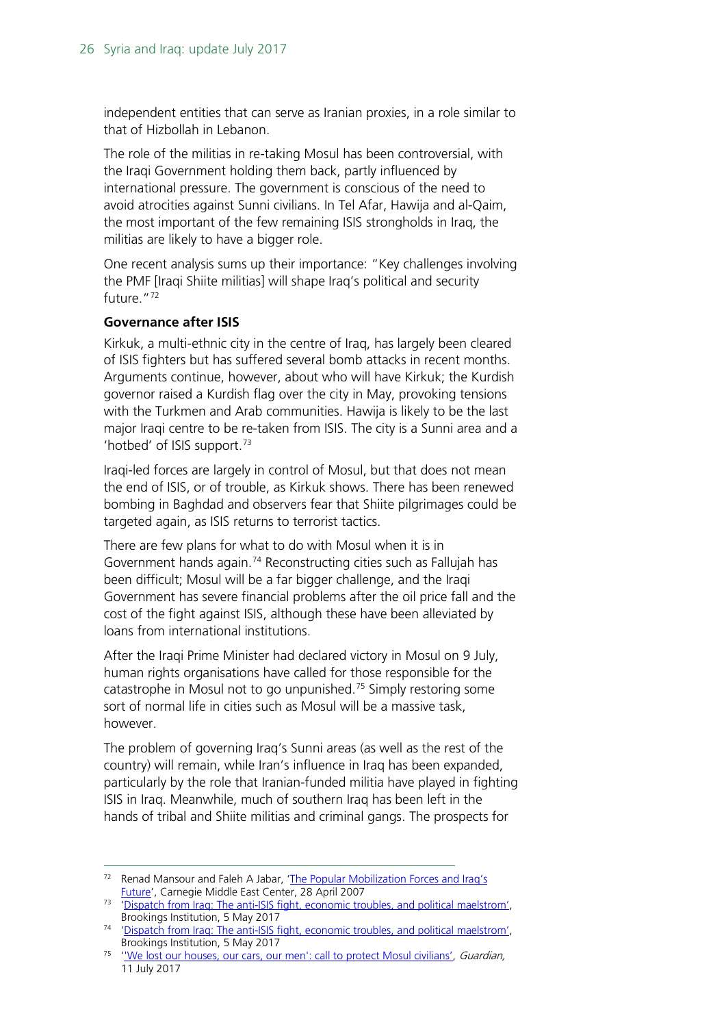independent entities that can serve as Iranian proxies, in a role similar to that of Hizbollah in Lebanon.

The role of the militias in re-taking Mosul has been controversial, with the Iraqi Government holding them back, partly influenced by international pressure. The government is conscious of the need to avoid atrocities against Sunni civilians. In Tel Afar, Hawija and al-Qaim, the most important of the few remaining ISIS strongholds in Iraq, the militias are likely to have a bigger role.

One recent analysis sums up their importance: "Key challenges involving the PMF [Iraqi Shiite militias] will shape Iraq's political and security future.["72](#page-25-0)

#### **Governance after ISIS**

Kirkuk, a multi-ethnic city in the centre of Iraq, has largely been cleared of ISIS fighters but has suffered several bomb attacks in recent months. Arguments continue, however, about who will have Kirkuk; the Kurdish governor raised a Kurdish flag over the city in May, provoking tensions with the Turkmen and Arab communities. Hawija is likely to be the last major Iraqi centre to be re-taken from ISIS. The city is a Sunni area and a 'hotbed' of ISIS support.<sup>[73](#page-25-1)</sup>

Iraqi-led forces are largely in control of Mosul, but that does not mean the end of ISIS, or of trouble, as Kirkuk shows. There has been renewed bombing in Baghdad and observers fear that Shiite pilgrimages could be targeted again, as ISIS returns to terrorist tactics.

There are few plans for what to do with Mosul when it is in Government hands again.<sup>[74](#page-25-2)</sup> Reconstructing cities such as Fallujah has been difficult; Mosul will be a far bigger challenge, and the Iraqi Government has severe financial problems after the oil price fall and the cost of the fight against ISIS, although these have been alleviated by loans from international institutions.

After the Iraqi Prime Minister had declared victory in Mosul on 9 July, human rights organisations have called for those responsible for the catastrophe in Mosul not to go unpunished.[75](#page-25-3) Simply restoring some sort of normal life in cities such as Mosul will be a massive task, however.

The problem of governing Iraq's Sunni areas (as well as the rest of the country) will remain, while Iran's influence in Iraq has been expanded, particularly by the role that Iranian-funded militia have played in fighting ISIS in Iraq. Meanwhile, much of southern Iraq has been left in the hands of tribal and Shiite militias and criminal gangs. The prospects for

<span id="page-25-0"></span><sup>&</sup>lt;sup>72</sup> Renad Mansour and Faleh A Jabar, 'The Popular Mobilization Forces and Iraq's [Future'](http://carnegie-mec.org/2017/04/28/popular-mobilization-forces-and-iraq-s-future-pub-68810), Carnegie Middle East Center, 28 April 2007

<span id="page-25-1"></span><sup>&</sup>lt;sup>73</sup> ['Dispatch from Iraq: The anti-ISIS fight, economic troubles, and political maelstrom',](https://www.brookings.edu/blog/markaz/2017/05/05/dispatch-from-iraq-the-anti-isis-fight-economic-troubles-and-political-maelstrom/) Brookings Institution, 5 May 2017

<span id="page-25-2"></span><sup>&</sup>lt;sup>74</sup> ['Dispatch from Iraq: The anti-ISIS fight, economic troubles, and political maelstrom',](https://www.brookings.edu/blog/markaz/2017/05/05/dispatch-from-iraq-the-anti-isis-fight-economic-troubles-and-political-maelstrom/) Brookings Institution, 5 May 2017

<span id="page-25-3"></span><sup>&</sup>lt;sup>75</sup> 'We lost our houses, our cars, our men': call to protect Mosul civilians', Guardian, 11 July 2017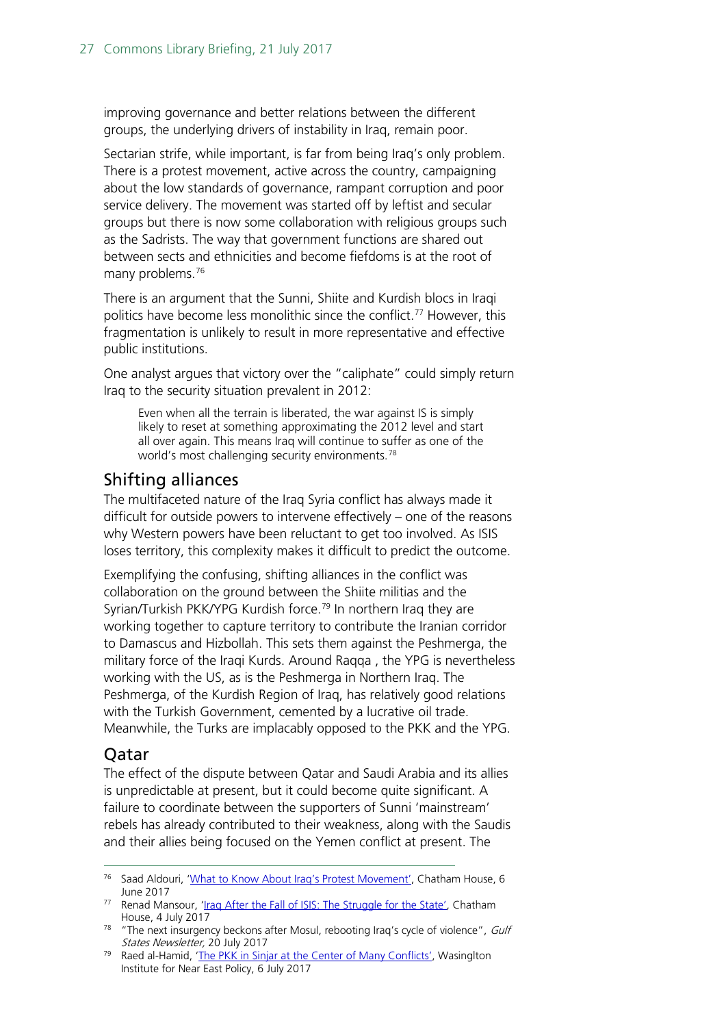improving governance and better relations between the different groups, the underlying drivers of instability in Iraq, remain poor.

Sectarian strife, while important, is far from being Iraq's only problem. There is a protest movement, active across the country, campaigning about the low standards of governance, rampant corruption and poor service delivery. The movement was started off by leftist and secular groups but there is now some collaboration with religious groups such as the Sadrists. The way that government functions are shared out between sects and ethnicities and become fiefdoms is at the root of many problems.<sup>[76](#page-26-2)</sup>

There is an argument that the Sunni, Shiite and Kurdish blocs in Iraqi politics have become less monolithic since the conflict.<sup>[77](#page-26-3)</sup> However, this fragmentation is unlikely to result in more representative and effective public institutions.

One analyst argues that victory over the "caliphate" could simply return Iraq to the security situation prevalent in 2012:

Even when all the terrain is liberated, the war against IS is simply likely to reset at something approximating the 2012 level and start all over again. This means Iraq will continue to suffer as one of the world's most challenging security environments.<sup>[78](#page-26-4)</sup>

## <span id="page-26-0"></span>Shifting alliances

The multifaceted nature of the Iraq Syria conflict has always made it difficult for outside powers to intervene effectively – one of the reasons why Western powers have been reluctant to get too involved. As ISIS loses territory, this complexity makes it difficult to predict the outcome.

Exemplifying the confusing, shifting alliances in the conflict was collaboration on the ground between the Shiite militias and the Syrian/Turkish PKK/YPG Kurdish force.<sup>[79](#page-26-5)</sup> In northern Iraq they are working together to capture territory to contribute the Iranian corridor to Damascus and Hizbollah. This sets them against the Peshmerga, the military force of the Iraqi Kurds. Around Raqqa , the YPG is nevertheless working with the US, as is the Peshmerga in Northern Iraq. The Peshmerga, of the Kurdish Region of Iraq, has relatively good relations with the Turkish Government, cemented by a lucrative oil trade. Meanwhile, the Turks are implacably opposed to the PKK and the YPG.

## <span id="page-26-1"></span>Qatar

The effect of the dispute between Qatar and Saudi Arabia and its allies is unpredictable at present, but it could become quite significant. A failure to coordinate between the supporters of Sunni 'mainstream' rebels has already contributed to their weakness, along with the Saudis and their allies being focused on the Yemen conflict at present. The

<span id="page-26-2"></span><sup>&</sup>lt;sup>76</sup> Saad Aldouri, ['What to Know About Iraq's Protest Movement',](https://www.chathamhouse.org/expert/comment/what-know-about-iraq-s-protest-movement?utm_source=Chatham%20House&utm_medium=email&utm_campaign=8433995_MENAP%20June%20Newsletter&dm_i=1S3M,50RPN,NUT8AU,J5JX3,1) Chatham House, 6 June 2017

<span id="page-26-3"></span><sup>&</sup>lt;sup>77</sup> Renad Mansour, ['Iraq After the Fall of ISIS: The Struggle for the State',](https://www.chathamhouse.org/publication/iraq-after-fall-isis-struggle-state?utm_source=Chatham%20House&utm_medium=email&utm_campaign=8480307_CH%20Newsletter%20-%2014.07.2017&utm_content=Iraq-Title&dm_i=1S3M,51RG3,NUT8AU,JAK5C,1) Chatham House, 4 July 2017

<span id="page-26-4"></span> $78$  "The next insurgency beckons after Mosul, rebooting Iraq's cycle of violence", Gulf States Newsletter, 20 July 2017

<span id="page-26-5"></span><sup>79</sup> Raed al-Hamid, ['The PKK in Sinjar at the Center of Many Conflicts',](http://www.washingtoninstitute.org/fikraforum/view/ppk-in-sinjar-at-the-center-of-many-conflicts) Wasinglton Institute for Near East Policy, 6 July 2017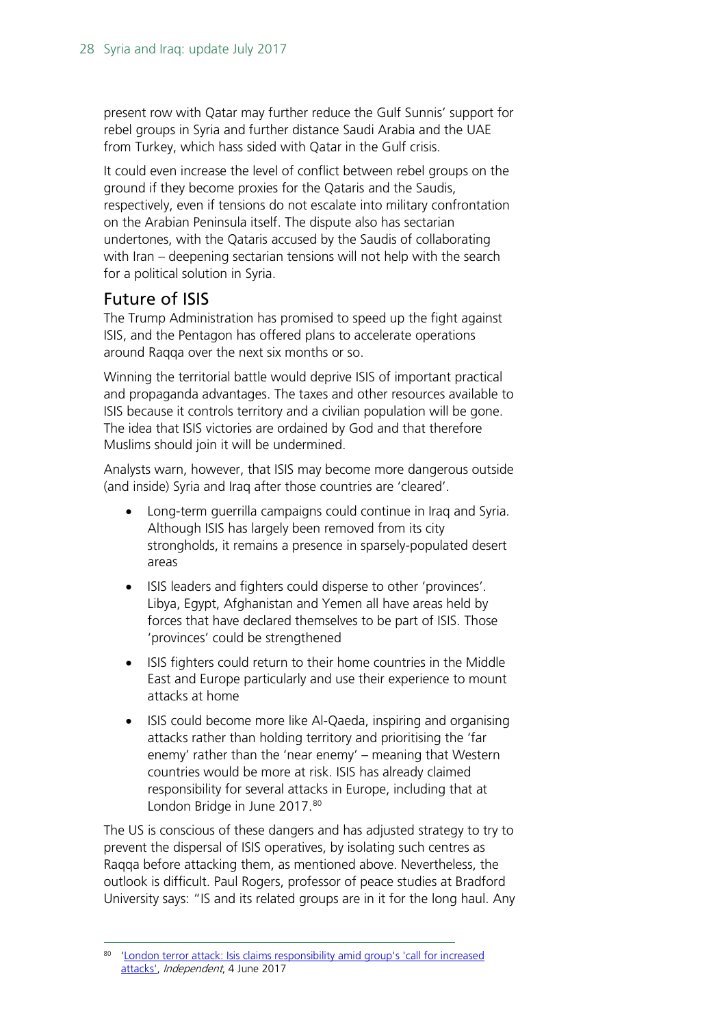present row with Qatar may further reduce the Gulf Sunnis' support for rebel groups in Syria and further distance Saudi Arabia and the UAE from Turkey, which hass sided with Qatar in the Gulf crisis.

It could even increase the level of conflict between rebel groups on the ground if they become proxies for the Qataris and the Saudis, respectively, even if tensions do not escalate into military confrontation on the Arabian Peninsula itself. The dispute also has sectarian undertones, with the Qataris accused by the Saudis of collaborating with Iran – deepening sectarian tensions will not help with the search for a political solution in Syria.

## <span id="page-27-0"></span>Future of ISIS

The Trump Administration has promised to speed up the fight against ISIS, and the Pentagon has offered plans to accelerate operations around Raqqa over the next six months or so.

Winning the territorial battle would deprive ISIS of important practical and propaganda advantages. The taxes and other resources available to ISIS because it controls territory and a civilian population will be gone. The idea that ISIS victories are ordained by God and that therefore Muslims should join it will be undermined.

Analysts warn, however, that ISIS may become more dangerous outside (and inside) Syria and Iraq after those countries are 'cleared'.

- Long-term guerrilla campaigns could continue in Iraq and Syria. Although ISIS has largely been removed from its city strongholds, it remains a presence in sparsely-populated desert areas
- ISIS leaders and fighters could disperse to other 'provinces'. Libya, Egypt, Afghanistan and Yemen all have areas held by forces that have declared themselves to be part of ISIS. Those 'provinces' could be strengthened
- ISIS fighters could return to their home countries in the Middle East and Europe particularly and use their experience to mount attacks at home
- ISIS could become more like Al-Qaeda, inspiring and organising attacks rather than holding territory and prioritising the 'far enemy' rather than the 'near enemy' – meaning that Western countries would be more at risk. ISIS has already claimed responsibility for several attacks in Europe, including that at London Bridge in June 2017.<sup>[80](#page-27-1)</sup>

The US is conscious of these dangers and has adjusted strategy to try to prevent the dispersal of ISIS operatives, by isolating such centres as Raqqa before attacking them, as mentioned above. Nevertheless, the outlook is difficult. Paul Rogers, professor of peace studies at Bradford University says: "IS and its related groups are in it for the long haul. Any

<span id="page-27-1"></span><sup>80 &#</sup>x27;London terror attack: Isis claims responsibility amid group's 'call for increased [attacks',](http://www.independent.co.uk/news/uk/home-news/london-terror-attack-isis-claims-responsibility-borough-market-bridge-a7772776.html) Independent, 4 June 2017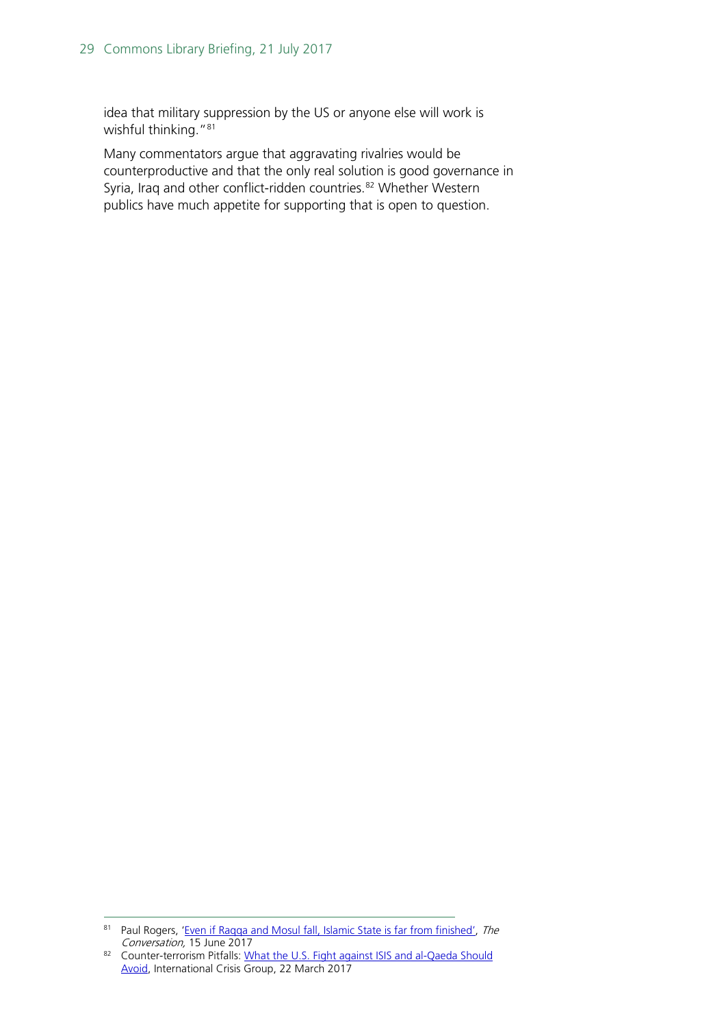idea that military suppression by the US or anyone else will work is wishful thinking."<sup>[81](#page-28-0)</sup>

Many commentators argue that aggravating rivalries would be counterproductive and that the only real solution is good governance in Syria, Iraq and other conflict-ridden countries.<sup>[82](#page-28-1)</sup> Whether Western publics have much appetite for supporting that is open to question.

<span id="page-28-0"></span><sup>81</sup> Paul Rogers, 'Even if Ragga and Mosul fall, Islamic State is far from finished', The Conversation, 15 June 2017

<span id="page-28-1"></span><sup>82</sup> Counter-terrorism Pitfalls: [What the U.S. Fight against](https://d2071andvip0wj.cloudfront.net/003-counter-terrorism-pitfalls.pdf) ISIS and al-Qaeda Should [Avoid,](https://d2071andvip0wj.cloudfront.net/003-counter-terrorism-pitfalls.pdf) International Crisis Group, 22 March 2017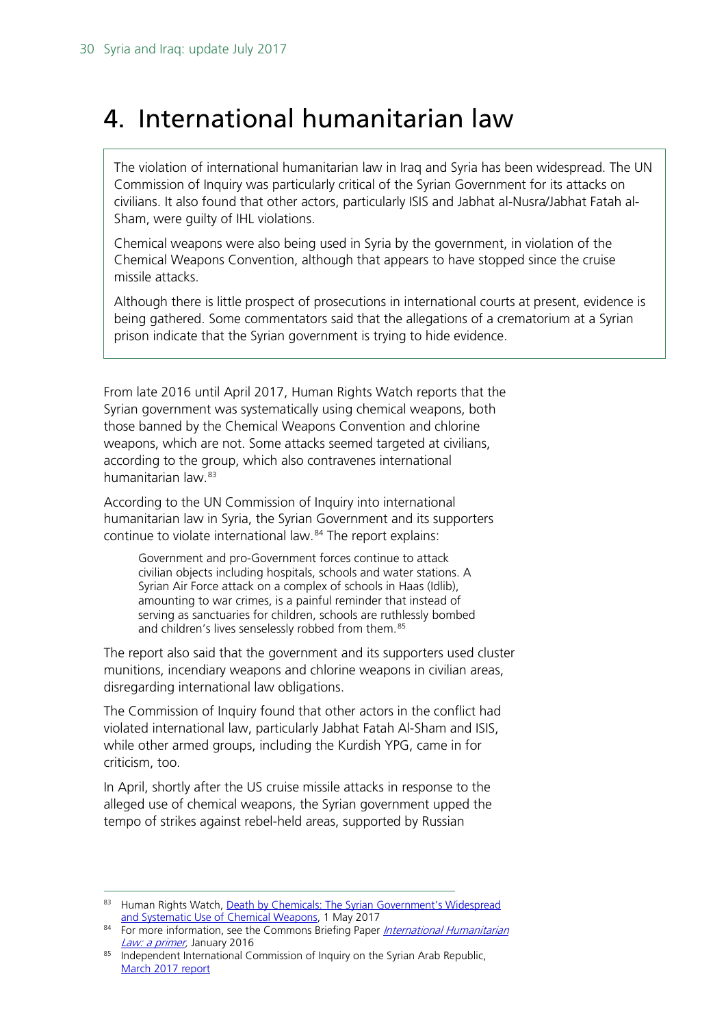## <span id="page-29-0"></span>4. International humanitarian law

The violation of international humanitarian law in Iraq and Syria has been widespread. The UN Commission of Inquiry was particularly critical of the Syrian Government for its attacks on civilians. It also found that other actors, particularly ISIS and Jabhat al-Nusra/Jabhat Fatah al-Sham, were guilty of IHL violations.

Chemical weapons were also being used in Syria by the government, in violation of the Chemical Weapons Convention, although that appears to have stopped since the cruise missile attacks.

Although there is little prospect of prosecutions in international courts at present, evidence is being gathered. Some commentators said that the allegations of a crematorium at a Syrian prison indicate that the Syrian government is trying to hide evidence.

From late 2016 until April 2017, Human Rights Watch reports that the Syrian government was systematically using chemical weapons, both those banned by the Chemical Weapons Convention and chlorine weapons, which are not. Some attacks seemed targeted at civilians, according to the group, which also contravenes international humanitarian law.<sup>[83](#page-29-1)</sup>

According to the UN Commission of Inquiry into international humanitarian law in Syria, the Syrian Government and its supporters continue to violate international law.[84](#page-29-2) The report explains:

Government and pro-Government forces continue to attack civilian objects including hospitals, schools and water stations. A Syrian Air Force attack on a complex of schools in Haas (Idlib), amounting to war crimes, is a painful reminder that instead of serving as sanctuaries for children, schools are ruthlessly bombed and children's lives senselessly robbed from them.<sup>[85](#page-29-3)</sup>

The report also said that the government and its supporters used cluster munitions, incendiary weapons and chlorine weapons in civilian areas, disregarding international law obligations.

The Commission of Inquiry found that other actors in the conflict had violated international law, particularly Jabhat Fatah Al-Sham and ISIS, while other armed groups, including the Kurdish YPG, came in for criticism, too.

In April, shortly after the US cruise missile attacks in response to the alleged use of chemical weapons, the Syrian government upped the tempo of strikes against rebel-held areas, supported by Russian

<span id="page-29-1"></span><sup>83</sup> Human Rights Watch, Death by Chemicals: The Syrian Government's Widespread [and Systematic Use of Chemical Weapons,](https://www.hrw.org/report/2017/05/01/death-chemicals/syrian-governments-widespread-and-systematic-use-chemical-weapons) 1 May 2017

<span id="page-29-2"></span><sup>84</sup> For more information, see the Commons Briefing Paper *International Humanitarian* Law: a primer</u>, January 2016

<span id="page-29-3"></span><sup>85</sup> Independent International Commission of Inquiry on the Syrian Arab Republic, [March 2017 report](http://www.ohchr.org/EN/HRBodies/HRC/IICISyria/Pages/Documentation.aspx)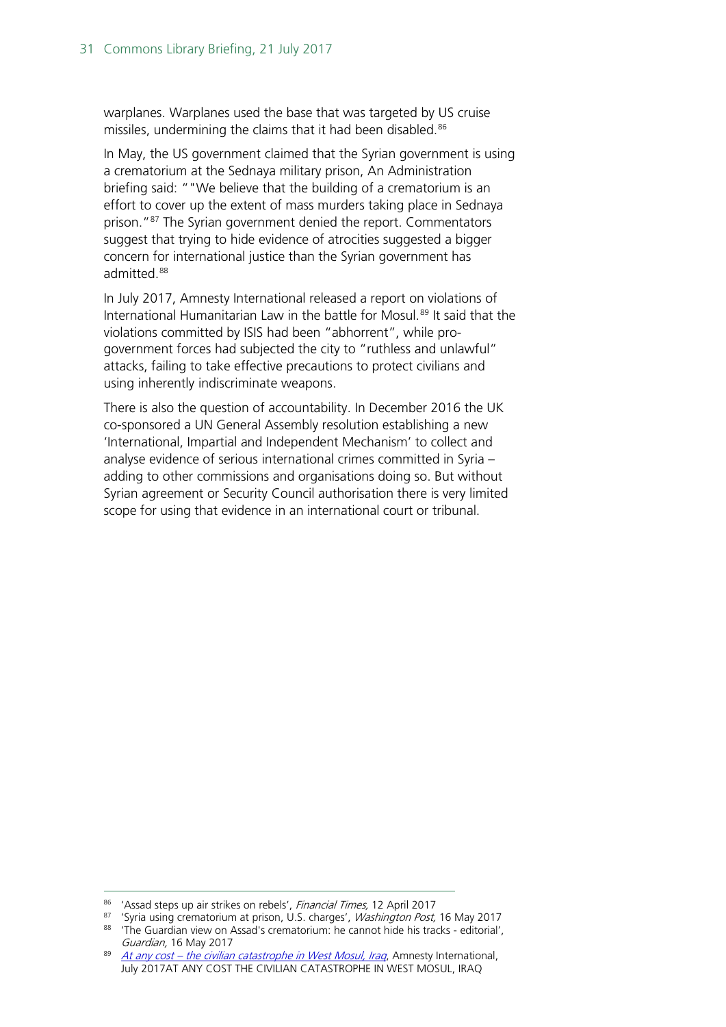warplanes. Warplanes used the base that was targeted by US cruise missiles, undermining the claims that it had been disabled.<sup>[86](#page-30-0)</sup>

In May, the US government claimed that the Syrian government is using a crematorium at the Sednaya military prison, An Administration briefing said: ""We believe that the building of a crematorium is an effort to cover up the extent of mass murders taking place in Sednaya prison."<sup>87</sup> The Syrian government denied the report. Commentators suggest that trying to hide evidence of atrocities suggested a bigger concern for international justice than the Syrian government has admitted.<sup>[88](#page-30-2)</sup>

In July 2017, Amnesty International released a report on violations of International Humanitarian Law in the battle for Mosul.<sup>[89](#page-30-3)</sup> It said that the violations committed by ISIS had been "abhorrent", while progovernment forces had subjected the city to "ruthless and unlawful" attacks, failing to take effective precautions to protect civilians and using inherently indiscriminate weapons.

There is also the question of accountability. In December 2016 the UK co-sponsored a UN General Assembly resolution establishing a new 'International, Impartial and Independent Mechanism' to collect and analyse evidence of serious international crimes committed in Syria – adding to other commissions and organisations doing so. But without Syrian agreement or Security Council authorisation there is very limited scope for using that evidence in an international court or tribunal.

<span id="page-30-0"></span><sup>86 &#</sup>x27;Assad steps up air strikes on rebels', Financial Times, 12 April 2017

<span id="page-30-2"></span><span id="page-30-1"></span><sup>&</sup>lt;sup>87</sup> 'Syria using crematorium at prison, U.S. charges', *Washington Post*, 16 May 2017 88 'The Guardian view on Assad's crematorium: he cannot hide his tracks - editorial', Guardian, 16 May 2017

<span id="page-30-3"></span><sup>89</sup> At any cost – [the civilian catastrophe in West Mosul, Iraq](https://www.amnesty.org/en/documents/mde14/6610/2017/en/), Amnesty International, July 2017AT ANY COST THE CIVILIAN CATASTROPHE IN WEST MOSUL, IRAQ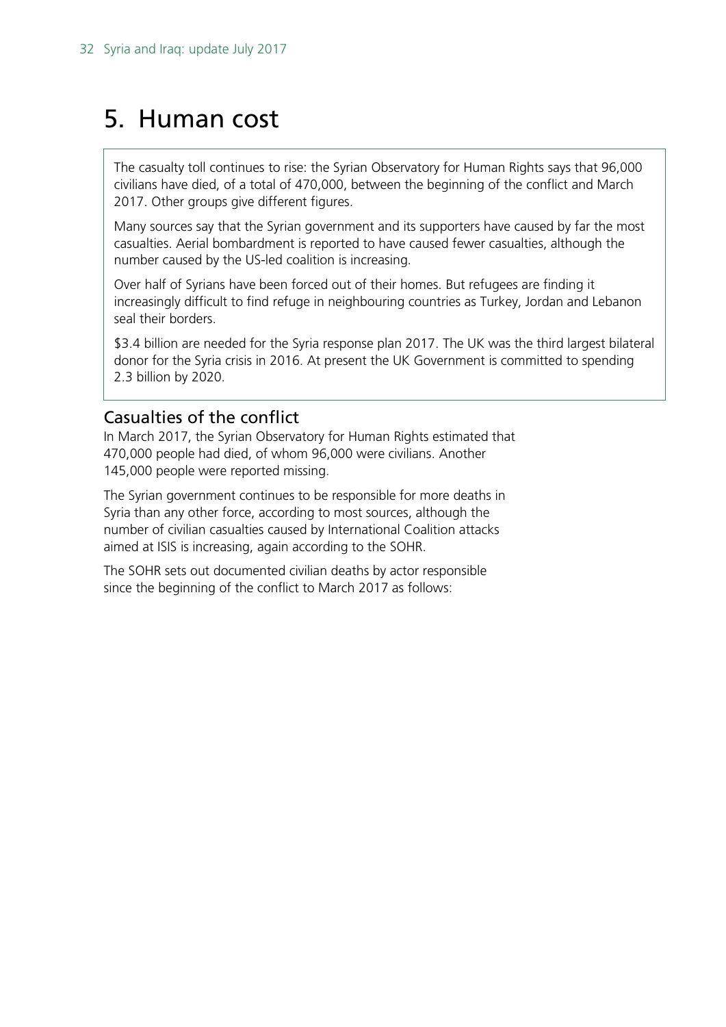## <span id="page-31-0"></span>5. Human cost

The casualty toll continues to rise: the Syrian Observatory for Human Rights says that 96,000 civilians have died, of a total of 470,000, between the beginning of the conflict and March 2017. Other groups give different figures.

Many sources say that the Syrian government and its supporters have caused by far the most casualties. Aerial bombardment is reported to have caused fewer casualties, although the number caused by the US-led coalition is increasing.

Over half of Syrians have been forced out of their homes. But refugees are finding it increasingly difficult to find refuge in neighbouring countries as Turkey, Jordan and Lebanon seal their borders.

\$3.4 billion are needed for the Syria response plan 2017. The UK was the third largest bilateral donor for the Syria crisis in 2016. At present the UK Government is committed to spending 2.3 billion by 2020.

## <span id="page-31-1"></span>Casualties of the conflict

In March 2017, the Syrian Observatory for Human Rights estimated that 470,000 people had died, of whom 96,000 were civilians. Another 145,000 people were reported missing.

The Syrian government continues to be responsible for more deaths in Syria than any other force, according to most sources, although the number of civilian casualties caused by International Coalition attacks aimed at ISIS is increasing, again according to the SOHR.

The SOHR sets out documented civilian deaths by actor responsible since the beginning of the conflict to March 2017 as follows: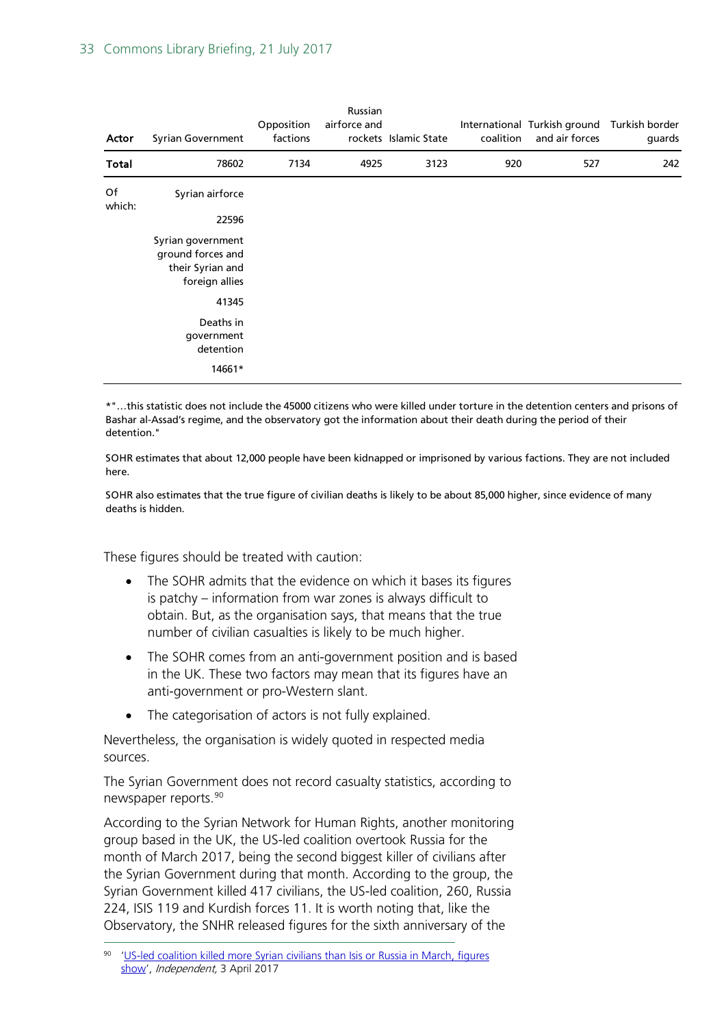#### 33 Commons Library Briefing, 21 July 2017

| Actor        | Syrian Government                                                                                                 | Opposition<br>factions | Russian<br>airforce and | rockets Islamic State | coalition | International Turkish ground Turkish border<br>and air forces | guards |
|--------------|-------------------------------------------------------------------------------------------------------------------|------------------------|-------------------------|-----------------------|-----------|---------------------------------------------------------------|--------|
| Total        | 78602                                                                                                             | 7134                   | 4925                    | 3123                  | 920       | 527                                                           | 242    |
| Of<br>which: | Syrian airforce<br>22596<br>Syrian government<br>ground forces and<br>their Syrian and<br>foreign allies<br>41345 |                        |                         |                       |           |                                                               |        |
|              | Deaths in<br>government<br>detention<br>14661*                                                                    |                        |                         |                       |           |                                                               |        |

\*"…this statistic does not include the 45000 citizens who were killed under torture in the detention centers and prisons of Bashar al-Assad's regime, and the observatory got the information about their death during the period of their detention."

SOHR estimates that about 12,000 people have been kidnapped or imprisoned by various factions. They are not included here.

SOHR also estimates that the true figure of civilian deaths is likely to be about 85,000 higher, since evidence of many deaths is hidden.

These figures should be treated with caution:

- The SOHR admits that the evidence on which it bases its figures is patchy – information from war zones is always difficult to obtain. But, as the organisation says, that means that the true number of civilian casualties is likely to be much higher.
- The SOHR comes from an anti-government position and is based in the UK. These two factors may mean that its figures have an anti-government or pro-Western slant.
- The categorisation of actors is not fully explained.

Nevertheless, the organisation is widely quoted in respected media sources.

The Syrian Government does not record casualty statistics, according to newspaper reports.[90](#page-32-0)

According to the Syrian Network for Human Rights, another monitoring group based in the UK, the US-led coalition overtook Russia for the month of March 2017, being the second biggest killer of civilians after the Syrian Government during that month. According to the group, the Syrian Government killed 417 civilians, the US-led coalition, 260, Russia 224, ISIS 119 and Kurdish forces 11. It is worth noting that, like the Observatory, the SNHR released figures for the sixth anniversary of the

<span id="page-32-0"></span> <sup>90</sup> ['US-led coalition killed more Syrian civilians than Isis or Russia in March, figures](http://www.independent.co.uk/news/world/middle-east/us-coalition-air-strikes-isis-russia-kill-more-civilians-march-middle-east-iraq-syria-network-for-a7663881.html)  [show'](http://www.independent.co.uk/news/world/middle-east/us-coalition-air-strikes-isis-russia-kill-more-civilians-march-middle-east-iraq-syria-network-for-a7663881.html), Independent, 3 April 2017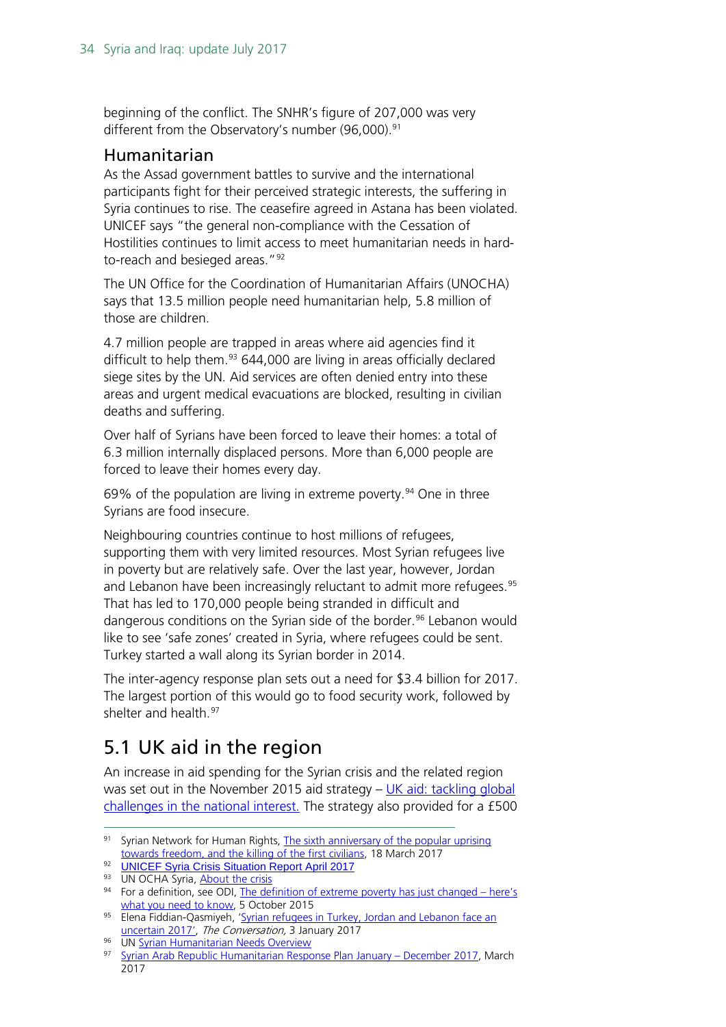beginning of the conflict. The SNHR's figure of 207,000 was very different from the Observatory's number (96,000).<sup>[91](#page-33-2)</sup>

### <span id="page-33-0"></span>Humanitarian

As the Assad government battles to survive and the international participants fight for their perceived strategic interests, the suffering in Syria continues to rise. The ceasefire agreed in Astana has been violated. UNICEF says "the general non-compliance with the Cessation of Hostilities continues to limit access to meet humanitarian needs in hardto-reach and besieged areas."[92](#page-33-3)

The UN Office for the Coordination of Humanitarian Affairs (UNOCHA) says that 13.5 million people need humanitarian help, 5.8 million of those are children.

4.7 million people are trapped in areas where aid agencies find it difficult to help them. $93$  644,000 are living in areas officially declared siege sites by the UN. Aid services are often denied entry into these areas and urgent medical evacuations are blocked, resulting in civilian deaths and suffering.

Over half of Syrians have been forced to leave their homes: a total of 6.3 million internally displaced persons. More than 6,000 people are forced to leave their homes every day.

69% of the population are living in extreme poverty.<sup>[94](#page-33-5)</sup> One in three Syrians are food insecure.

Neighbouring countries continue to host millions of refugees, supporting them with very limited resources. Most Syrian refugees live in poverty but are relatively safe. Over the last year, however, Jordan and Lebanon have been increasingly reluctant to admit more refugees.<sup>[95](#page-33-6)</sup> That has led to 170,000 people being stranded in difficult and dangerous conditions on the Syrian side of the border.<sup>[96](#page-33-7)</sup> Lebanon would like to see 'safe zones' created in Syria, where refugees could be sent. Turkey started a wall along its Syrian border in 2014.

The inter-agency response plan sets out a need for \$3.4 billion for 2017. The largest portion of this would go to food security work, followed by shelter and health.<sup>[97](#page-33-8)</sup>

## <span id="page-33-1"></span>5.1 UK aid in the region

An increase in aid spending for the Syrian crisis and the related region was set out in the November 2015 aid strategy – UK aid: tackling global [challenges in the national interest.](https://www.gov.uk/government/uploads/system/uploads/attachment_data/file/478936/52309_Cm_9161_NSS_SD_Review_PRINT_only.pdf) The strategy also provided for a £500

<span id="page-33-7"></span>96 UN [Syrian Humanitarian Needs Overview](http://hno-syria.org/#home)

<span id="page-33-2"></span><sup>91</sup> Syrian Network for Human Rights, The sixth anniversary of the popular uprising towards freedom, [and the killing of the first civilians,](http://sn4hr.org/wp-content/pdf/english/207_thousand_civilians_were_killed_by_hands_of_the_Syrian_alliance_Iranian_Russian_en.pdf) 18 March 2017

<span id="page-33-3"></span><sup>92</sup> [UNICEF Syria Crisis Situation Report April 2017](http://reliefweb.int/report/syrian-arab-republic/unicef-syria-crisis-situation-report-april-2017-humanitarian-results)

<span id="page-33-4"></span><sup>93</sup> UN OCHA Syria, [About the crisis](http://www.unocha.org/syrian-arab-republic/syria-country-profile/about-crisis)

<span id="page-33-5"></span><sup>&</sup>lt;sup>94</sup> For a definition, see ODI, <u>The definition of extreme poverty has just changed – here's</u><br>
<u>what you need to know</u>, 5 October 2015

<span id="page-33-6"></span><sup>95</sup> Elena Fiddian-Qasmiyeh, 'Syrian refugees in Turkey, Jordan and Lebanon face an [uncertain 2017',](http://theconversation.com/syrian-refugees-in-turkey-jordan-and-lebanon-face-an-uncertain-2017-70747) The Conversation, 3 January 2017

<span id="page-33-8"></span><sup>97</sup> Syrian Arab Republic Humanitarian Response Plan January - December 2017, March 2017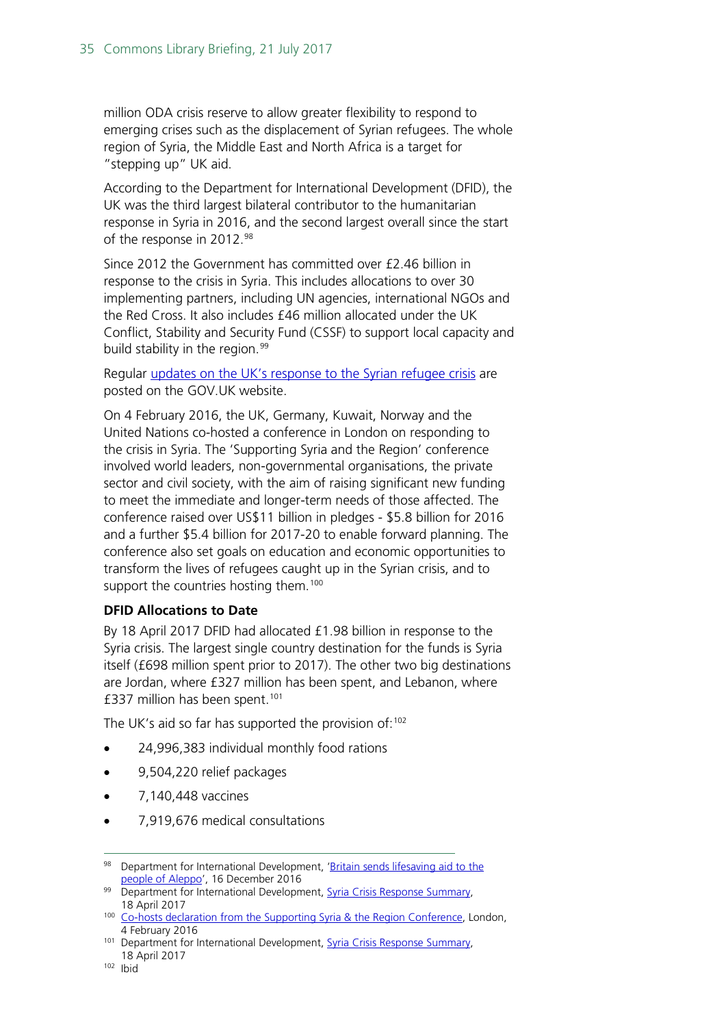million ODA crisis reserve to allow greater flexibility to respond to emerging crises such as the displacement of Syrian refugees. The whole region of Syria, the Middle East and North Africa is a target for "stepping up" UK aid.

According to the Department for International Development (DFID), the UK was the third largest bilateral contributor to the humanitarian response in Syria in 2016, and the second largest overall since the start of the response in 2012.<sup>[98](#page-34-0)</sup>

Since 2012 the Government has committed over £2.46 billion in response to the crisis in Syria. This includes allocations to over 30 implementing partners, including UN agencies, international NGOs and the Red Cross. It also includes £46 million allocated under the UK Conflict, Stability and Security Fund (CSSF) to support local capacity and build stability in the region. [99](#page-34-1)

Regular [updates on the UK's response to the Syrian refugee crisis](https://www.gov.uk/government/world/syria) are posted on the GOV.UK website.

On 4 February 2016, the UK, Germany, Kuwait, Norway and the United Nations co-hosted a conference in London on responding to the crisis in Syria. The 'Supporting Syria and the Region' conference involved world leaders, non-governmental organisations, the private sector and civil society, with the aim of raising significant new funding to meet the immediate and longer-term needs of those affected. The conference raised over US\$11 billion in pledges - \$5.8 billion for 2016 and a further \$5.4 billion for 2017-20 to enable forward planning. The conference also set goals on education and economic opportunities to transform the lives of refugees caught up in the Syrian crisis, and to support the countries hosting them.<sup>[100](#page-34-2)</sup>

### **DFID Allocations to Date**

By 18 April 2017 DFID had allocated £1.98 billion in response to the Syria crisis. The largest single country destination for the funds is Syria itself (£698 million spent prior to 2017). The other two big destinations are Jordan, where £327 million has been spent, and Lebanon, where £337 million has been spent.[101](#page-34-3)

The UK's aid so far has supported the provision of: $102$ 

- 24,996,383 individual monthly food rations
- 9,504,220 relief packages
- 7,140,448 vaccines
- 7,919,676 medical consultations

<span id="page-34-0"></span><sup>98</sup> Department for International Development, 'Britain sends lifesaving aid to the [people of Aleppo'](https://www.gov.uk/government/news/britain-sends-lifesaving-aid-to-the-people-of-aleppo), 16 December 2016

<span id="page-34-1"></span><sup>99</sup> Department for International Development, [Syria Crisis Response Summary,](https://www.gov.uk/government/uploads/system/uploads/attachment_data/file/609534/UK_Syria_Crisis_Response_Summary_2017-04-18.pdf) 18 April 2017

<span id="page-34-2"></span><sup>&</sup>lt;sup>100</sup> [Co-hosts declaration from the Supporting Syria & the Region Conference,](https://www.supportingsyria2016.com/news/co-hosts-declaration-of-the-supporting-syria-and-the-region-conference-london-2016/) London, 4 February 2016

<span id="page-34-4"></span><span id="page-34-3"></span><sup>&</sup>lt;sup>101</sup> Department for International Development, **Syria Crisis Response Summary**, 18 April 2017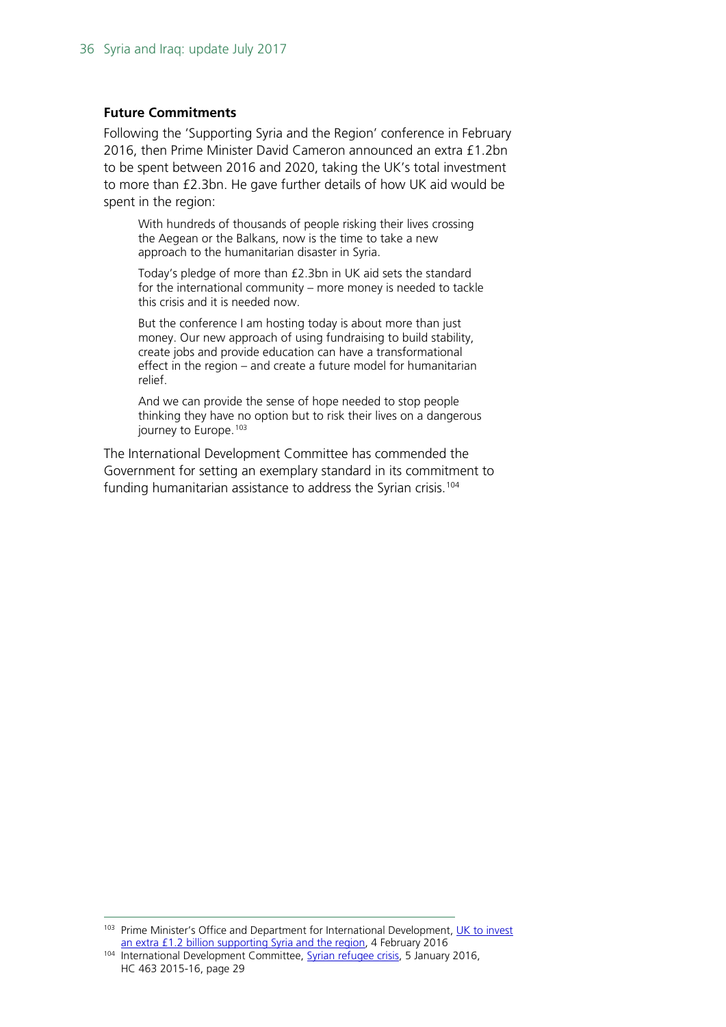#### **Future Commitments**

Following the 'Supporting Syria and the Region' conference in February 2016, then Prime Minister David Cameron announced an extra £1.2bn to be spent between 2016 and 2020, taking the UK's total investment to more than £2.3bn. He gave further details of how UK aid would be spent in the region:

With hundreds of thousands of people risking their lives crossing the Aegean or the Balkans, now is the time to take a new approach to the humanitarian disaster in Syria.

Today's pledge of more than £2.3bn in UK aid sets the standard for the international community – more money is needed to tackle this crisis and it is needed now.

But the conference I am hosting today is about more than just money. Our new approach of using fundraising to build stability, create jobs and provide education can have a transformational effect in the region – and create a future model for humanitarian relief.

And we can provide the sense of hope needed to stop people thinking they have no option but to risk their lives on a dangerous journey to Europe.<sup>[103](#page-35-0)</sup>

The International Development Committee has commended the Government for setting an exemplary standard in its commitment to funding humanitarian assistance to address the Syrian crisis.<sup>[104](#page-35-1)</sup>

<span id="page-35-0"></span>103 Prime Minister's Office and Department for International Development, UK to invest [an extra £1.2 billion supporting Syria and the region,](https://www.gov.uk/government/news/uk-to-invest-an-extra-12-billion-supporting-syria-and-the-region) 4 February 2016

<span id="page-35-1"></span><sup>104</sup> International Development Committee, [Syrian refugee crisis,](http://www.publications.parliament.uk/pa/cm201516/cmselect/cmintdev/463/463.pdf) 5 January 2016, HC 463 2015-16, page 29